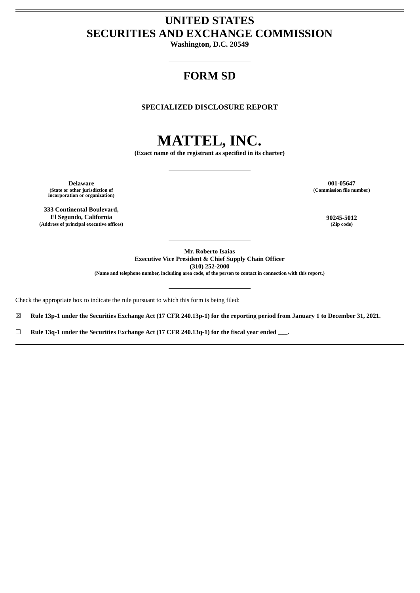# **UNITED STATES SECURITIES AND EXCHANGE COMMISSION**

**Washington, D.C. 20549**

# **FORM SD**

**SPECIALIZED DISCLOSURE REPORT**

# **MATTEL, INC.**

**(Exact name of the registrant as specified in its charter)**

**Delaware 001-05647 (State or other jurisdiction of incorporation or organization)**

**333 Continental Boulevard, El Segundo, California 90245-5012 (Address of principal executive offices) (Zip code)**

**(Commission file number)**

**Mr. Roberto Isaias Executive Vice President & Chief Supply Chain Officer (310) 252-2000**

(Name and telephone number, including area code, of the person to contact in connection with this report.)

Check the appropriate box to indicate the rule pursuant to which this form is being filed:

 $\boxtimes$  Rule 13p-1 under the Securities Exchange Act (17 CFR 240.13p-1) for the reporting period from January 1 to December 31, 2021.

☐ **Rule 13q-1 under the Securities Exchange Act (17 CFR 240.13q-1) for the fiscal year ended \_\_\_.**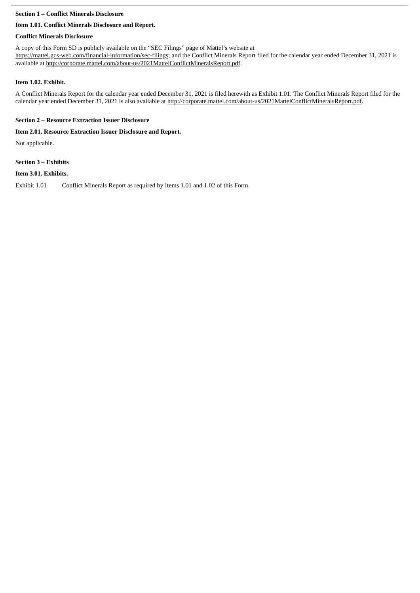#### **Section 1 – Conflict Minerals Disclosure**

# **Item 1.01. Conflict Minerals Disclosure and Report.**

# **Conflict Minerals Disclosure**

A copy of this Form SD is publicly available on the "SEC Filings" page of Mattel's website at https://mattel.gcs-web.com/financial-information/sec-filings; and the Conflict Minerals Report filed for the calendar year ended December 31, 2021 is available at http://corporate.mattel.com/about-us/2021MattelConflictMineralsReport.pdf.

# **Item 1.02. Exhibit.**

A Conflict Minerals Report for the calendar year ended December 31, 2021 is filed herewith as Exhibit 1.01. The Conflict Minerals Report filed for the calendar year ended December 31, 2021 is also available at http://corporate.mattel.com/about-us/2021MattelConflictMineralsReport.pdf.

# **Section 2 – Resource Extraction Issuer Disclosure**

# **Item 2.01. Resource Extraction Issuer Disclosure and Report.**

Not applicable.

# **Section 3 – Exhibits**

# **Item 3.01. Exhibits.**

Exhibit 1.01 Conflict Minerals Report as required by Items 1.01 and 1.02 of this Form.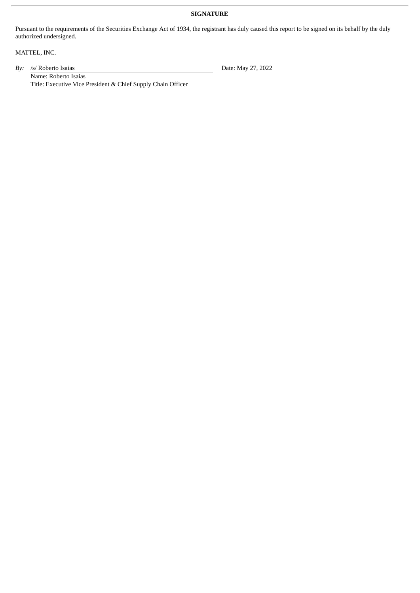#### **SIGNATURE**

Pursuant to the requirements of the Securities Exchange Act of 1934, the registrant has duly caused this report to be signed on its behalf by the duly authorized undersigned.

MATTEL, INC.

By: /s/ Roberto Isaias Date: May 27, 2022

Name: Roberto Isaias Title: Executive Vice President & Chief Supply Chain Officer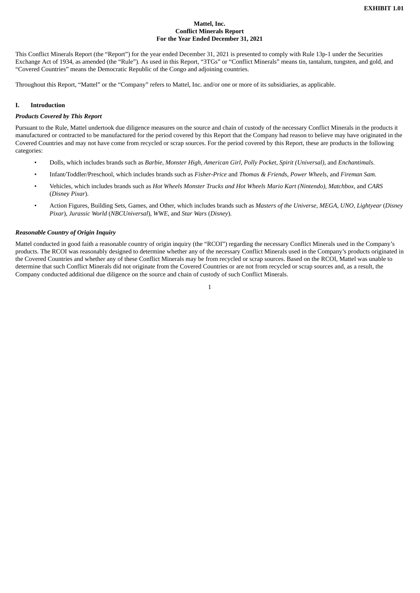#### **Mattel, Inc. Conflict Minerals Report For the Year Ended December 31, 2021**

This Conflict Minerals Report (the "Report") for the year ended December 31, 2021 is presented to comply with Rule 13p-1 under the Securities Exchange Act of 1934, as amended (the "Rule"). As used in this Report, "3TGs" or "Conflict Minerals" means tin, tantalum, tungsten, and gold, and "Covered Countries" means the Democratic Republic of the Congo and adjoining countries.

Throughout this Report, "Mattel" or the "Company" refers to Mattel, Inc. and/or one or more of its subsidiaries, as applicable.

#### **I. Introduction**

#### *Products Covered by This Report*

Pursuant to the Rule, Mattel undertook due diligence measures on the source and chain of custody of the necessary Conflict Minerals in the products it manufactured or contracted to be manufactured for the period covered by this Report that the Company had reason to believe may have originated in the Covered Countries and may not have come from recycled or scrap sources. For the period covered by this Report, these are products in the following categories:

- Dolls, which includes brands such as *Barbie*, *Monster High*, *American Girl*, *Polly Pocket*, *Spirit (Universal)*, and *Enchantimals*.
- Infant/Toddler/Preschool, which includes brands such as *Fisher-Price* and *Thomas & Friends*, *Power Wheels*, and *Fireman Sam*.
- Vehicles, which includes brands such as *Hot Wheels Monster Trucks and Hot Wheels Mario Kart (Nintendo)*, *Matchbox*, and *CARS* (*Disney Pixar*).
- Action Figures, Building Sets, Games, and Other, which includes brands such as *Masters of the Universe*, *MEGA*, *UNO*, *Lightyear* (*Disney Pixar*), *Jurassic World* (*NBCUniversal*), *WWE*, and *Star Wars* (*Disney*).

#### *Reasonable Country of Origin Inquiry*

Mattel conducted in good faith a reasonable country of origin inquiry (the "RCOI") regarding the necessary Conflict Minerals used in the Company's products. The RCOI was reasonably designed to determine whether any of the necessary Conflict Minerals used in the Company's products originated in the Covered Countries and whether any of these Conflict Minerals may be from recycled or scrap sources. Based on the RCOI, Mattel was unable to determine that such Conflict Minerals did not originate from the Covered Countries or are not from recycled or scrap sources and, as a result, the Company conducted additional due diligence on the source and chain of custody of such Conflict Minerals.

1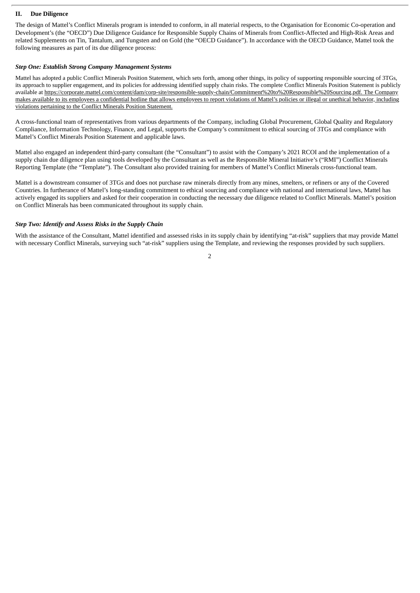#### **II. Due Diligence**

The design of Mattel's Conflict Minerals program is intended to conform, in all material respects, to the Organisation for Economic Co-operation and Development's (the "OECD") Due Diligence Guidance for Responsible Supply Chains of Minerals from Conflict-Affected and High-Risk Areas and related Supplements on Tin, Tantalum, and Tungsten and on Gold (the "OECD Guidance"). In accordance with the OECD Guidance, Mattel took the following measures as part of its due diligence process:

#### *Step One: Establish Strong Company Management Systems*

Mattel has adopted a public Conflict Minerals Position Statement, which sets forth, among other things, its policy of supporting responsible sourcing of 3TGs, its approach to supplier engagement, and its policies for addressing identified supply chain risks. The complete Conflict Minerals Position Statement is publicly available at https://corporate.mattel.com/content/dam/corp-site/responsible-supply-chain/Commitment%20to%20Responsible%20Sourcing.pdf. The Company makes available to its employees a confidential hotline that allows employees to report violations of Mattel's policies or illegal or unethical behavior, including violations pertaining to the Conflict Minerals Position Statement.

A cross-functional team of representatives from various departments of the Company, including Global Procurement, Global Quality and Regulatory Compliance, Information Technology, Finance, and Legal, supports the Company's commitment to ethical sourcing of 3TGs and compliance with Mattel's Conflict Minerals Position Statement and applicable laws.

Mattel also engaged an independent third-party consultant (the "Consultant") to assist with the Company's 2021 RCOI and the implementation of a supply chain due diligence plan using tools developed by the Consultant as well as the Responsible Mineral Initiative's ("RMI") Conflict Minerals Reporting Template (the "Template"). The Consultant also provided training for members of Mattel's Conflict Minerals cross-functional team.

Mattel is a downstream consumer of 3TGs and does not purchase raw minerals directly from any mines, smelters, or refiners or any of the Covered Countries. In furtherance of Mattel's long-standing commitment to ethical sourcing and compliance with national and international laws, Mattel has actively engaged its suppliers and asked for their cooperation in conducting the necessary due diligence related to Conflict Minerals. Mattel's position on Conflict Minerals has been communicated throughout its supply chain.

#### *Step Two: Identify and Assess Risks in the Supply Chain*

With the assistance of the Consultant, Mattel identified and assessed risks in its supply chain by identifying "at-risk" suppliers that may provide Mattel with necessary Conflict Minerals, surveying such "at-risk" suppliers using the Template, and reviewing the responses provided by such suppliers.

 $\overline{2}$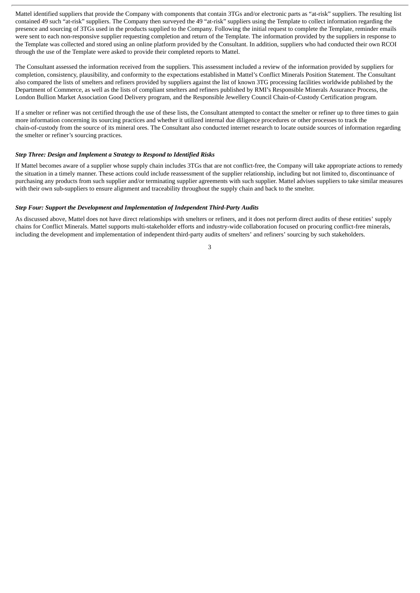Mattel identified suppliers that provide the Company with components that contain 3TGs and/or electronic parts as "at-risk" suppliers. The resulting list contained 49 such "at-risk" suppliers. The Company then surveyed the 49 "at-risk" suppliers using the Template to collect information regarding the presence and sourcing of 3TGs used in the products supplied to the Company. Following the initial request to complete the Template, reminder emails were sent to each non-responsive supplier requesting completion and return of the Template. The information provided by the suppliers in response to the Template was collected and stored using an online platform provided by the Consultant. In addition, suppliers who had conducted their own RCOI through the use of the Template were asked to provide their completed reports to Mattel.

The Consultant assessed the information received from the suppliers. This assessment included a review of the information provided by suppliers for completion, consistency, plausibility, and conformity to the expectations established in Mattel's Conflict Minerals Position Statement. The Consultant also compared the lists of smelters and refiners provided by suppliers against the list of known 3TG processing facilities worldwide published by the Department of Commerce, as well as the lists of compliant smelters and refiners published by RMI's Responsible Minerals Assurance Process, the London Bullion Market Association Good Delivery program, and the Responsible Jewellery Council Chain-of-Custody Certification program.

If a smelter or refiner was not certified through the use of these lists, the Consultant attempted to contact the smelter or refiner up to three times to gain more information concerning its sourcing practices and whether it utilized internal due diligence procedures or other processes to track the chain-of-custody from the source of its mineral ores. The Consultant also conducted internet research to locate outside sources of information regarding the smelter or refiner's sourcing practices.

#### *Step Three: Design and Implement a Strategy to Respond to Identified Risks*

If Mattel becomes aware of a supplier whose supply chain includes 3TGs that are not conflict-free, the Company will take appropriate actions to remedy the situation in a timely manner. These actions could include reassessment of the supplier relationship, including but not limited to, discontinuance of purchasing any products from such supplier and/or terminating supplier agreements with such supplier. Mattel advises suppliers to take similar measures with their own sub-suppliers to ensure alignment and traceability throughout the supply chain and back to the smelter.

#### *Step Four: Support the Development and Implementation of Independent Third-Party Audits*

As discussed above, Mattel does not have direct relationships with smelters or refiners, and it does not perform direct audits of these entities' supply chains for Conflict Minerals. Mattel supports multi-stakeholder efforts and industry-wide collaboration focused on procuring conflict-free minerals, including the development and implementation of independent third-party audits of smelters' and refiners' sourcing by such stakeholders.

3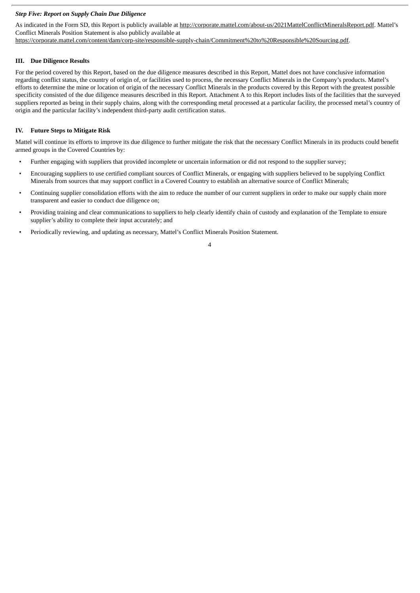#### *Step Five: Report on Supply Chain Due Diligence*

As indicated in the Form SD, this Report is publicly available at http://corporate.mattel.com/about-us/2021MattelConflictMineralsReport.pdf. Mattel's Conflict Minerals Position Statement is also publicly available at https://corporate.mattel.com/content/dam/corp-site/responsible-supply-chain/Commitment%20to%20Responsible%20Sourcing.pdf.

#### **III. Due Diligence Results**

For the period covered by this Report, based on the due diligence measures described in this Report, Mattel does not have conclusive information regarding conflict status, the country of origin of, or facilities used to process, the necessary Conflict Minerals in the Company's products. Mattel's efforts to determine the mine or location of origin of the necessary Conflict Minerals in the products covered by this Report with the greatest possible specificity consisted of the due diligence measures described in this Report. Attachment A to this Report includes lists of the facilities that the surveyed suppliers reported as being in their supply chains, along with the corresponding metal processed at a particular facility, the processed metal's country of origin and the particular facility's independent third-party audit certification status.

#### **IV. Future Steps to Mitigate Risk**

Mattel will continue its efforts to improve its due diligence to further mitigate the risk that the necessary Conflict Minerals in its products could benefit armed groups in the Covered Countries by:

- Further engaging with suppliers that provided incomplete or uncertain information or did not respond to the supplier survey;
- Encouraging suppliers to use certified compliant sources of Conflict Minerals, or engaging with suppliers believed to be supplying Conflict Minerals from sources that may support conflict in a Covered Country to establish an alternative source of Conflict Minerals;
- Continuing supplier consolidation efforts with the aim to reduce the number of our current suppliers in order to make our supply chain more transparent and easier to conduct due diligence on;
- Providing training and clear communications to suppliers to help clearly identify chain of custody and explanation of the Template to ensure supplier's ability to complete their input accurately; and
- Periodically reviewing, and updating as necessary, Mattel's Conflict Minerals Position Statement.

4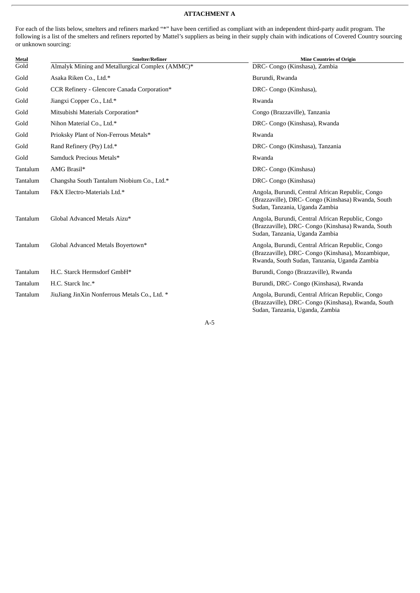#### **ATTACHMENT A**

For each of the lists below, smelters and refiners marked "\*" have been certified as compliant with an independent third-party audit program. The following is a list of the smelters and refiners reported by Mattel's suppliers as being in their supply chain with indications of Covered Country sourcing or unknown sourcing:

| Metal    | Smelter/Refiner                                  | <b>Mine Countries of Origin</b>                                                                                                                       |
|----------|--------------------------------------------------|-------------------------------------------------------------------------------------------------------------------------------------------------------|
| Gold     | Almalyk Mining and Metallurgical Complex (AMMC)* | DRC- Congo (Kinshasa), Zambia                                                                                                                         |
| Gold     | Asaka Riken Co., Ltd.*                           | Burundi, Rwanda                                                                                                                                       |
| Gold     | CCR Refinery - Glencore Canada Corporation*      | DRC- Congo (Kinshasa),                                                                                                                                |
| Gold     | Jiangxi Copper Co., Ltd.*                        | Rwanda                                                                                                                                                |
| Gold     | Mitsubishi Materials Corporation*                | Congo (Brazzaville), Tanzania                                                                                                                         |
| Gold     | Nihon Material Co., Ltd.*                        | DRC- Congo (Kinshasa), Rwanda                                                                                                                         |
| Gold     | Prioksky Plant of Non-Ferrous Metals*            | Rwanda                                                                                                                                                |
| Gold     | Rand Refinery (Pty) Ltd.*                        | DRC- Congo (Kinshasa), Tanzania                                                                                                                       |
| Gold     | Samduck Precious Metals*                         | Rwanda                                                                                                                                                |
| Tantalum | AMG Brasil*                                      | DRC- Congo (Kinshasa)                                                                                                                                 |
| Tantalum | Changsha South Tantalum Niobium Co., Ltd.*       | DRC- Congo (Kinshasa)                                                                                                                                 |
| Tantalum | F&X Electro-Materials Ltd.*                      | Angola, Burundi, Central African Republic, Congo<br>(Brazzaville), DRC- Congo (Kinshasa) Rwanda, South<br>Sudan, Tanzania, Uganda Zambia              |
| Tantalum | Global Advanced Metals Aizu*                     | Angola, Burundi, Central African Republic, Congo<br>(Brazzaville), DRC- Congo (Kinshasa) Rwanda, South<br>Sudan, Tanzania, Uganda Zambia              |
| Tantalum | Global Advanced Metals Boyertown*                | Angola, Burundi, Central African Republic, Congo<br>(Brazzaville), DRC- Congo (Kinshasa), Mozambique,<br>Rwanda, South Sudan, Tanzania, Uganda Zambia |
| Tantalum | H.C. Starck Hermsdorf GmbH*                      | Burundi, Congo (Brazzaville), Rwanda                                                                                                                  |
| Tantalum | H.C. Starck Inc.*                                | Burundi, DRC- Congo (Kinshasa), Rwanda                                                                                                                |
| Tantalum | JiuJiang JinXin Nonferrous Metals Co., Ltd. *    | Angola, Burundi, Central African Republic, Congo<br>(Brazzaville), DRC- Congo (Kinshasa), Rwanda, South<br>Sudan, Tanzania, Uganda, Zambia            |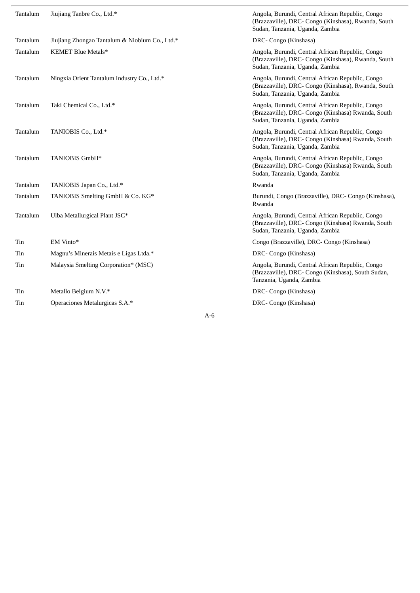| Tantalum | Jiujiang Tanbre Co., Ltd.*                     | Angola, Burundi, Central African Republic, Congo<br>(Brazzaville), DRC- Congo (Kinshasa), Rwanda, South<br>Sudan, Tanzania, Uganda, Zambia |
|----------|------------------------------------------------|--------------------------------------------------------------------------------------------------------------------------------------------|
| Tantalum | Jiujiang Zhongao Tantalum & Niobium Co., Ltd.* | DRC- Congo (Kinshasa)                                                                                                                      |
| Tantalum | KEMET Blue Metals*                             | Angola, Burundi, Central African Republic, Congo<br>(Brazzaville), DRC- Congo (Kinshasa), Rwanda, South<br>Sudan, Tanzania, Uganda, Zambia |
| Tantalum | Ningxia Orient Tantalum Industry Co., Ltd.*    | Angola, Burundi, Central African Republic, Congo<br>(Brazzaville), DRC- Congo (Kinshasa), Rwanda, South<br>Sudan, Tanzania, Uganda, Zambia |
| Tantalum | Taki Chemical Co., Ltd.*                       | Angola, Burundi, Central African Republic, Congo<br>(Brazzaville), DRC- Congo (Kinshasa) Rwanda, South<br>Sudan, Tanzania, Uganda, Zambia  |
| Tantalum | TANIOBIS Co., Ltd.*                            | Angola, Burundi, Central African Republic, Congo<br>(Brazzaville), DRC- Congo (Kinshasa) Rwanda, South<br>Sudan, Tanzania, Uganda, Zambia  |
| Tantalum | TANIOBIS GmbH*                                 | Angola, Burundi, Central African Republic, Congo<br>(Brazzaville), DRC- Congo (Kinshasa) Rwanda, South<br>Sudan, Tanzania, Uganda, Zambia  |
| Tantalum | TANIOBIS Japan Co., Ltd.*                      | Rwanda                                                                                                                                     |
| Tantalum | TANIOBIS Smelting GmbH & Co. KG*               | Burundi, Congo (Brazzaville), DRC- Congo (Kinshasa),<br>Rwanda                                                                             |
| Tantalum | Ulba Metallurgical Plant JSC*                  | Angola, Burundi, Central African Republic, Congo<br>(Brazzaville), DRC- Congo (Kinshasa) Rwanda, South<br>Sudan, Tanzania, Uganda, Zambia  |
| Tin      | EM Vinto*                                      | Congo (Brazzaville), DRC- Congo (Kinshasa)                                                                                                 |
| Tin      | Magnu's Minerais Metais e Ligas Ltda.*         | DRC- Congo (Kinshasa)                                                                                                                      |
| Tin      | Malaysia Smelting Corporation* (MSC)           | Angola, Burundi, Central African Republic, Congo<br>(Brazzaville), DRC- Congo (Kinshasa), South Sudan,<br>Tanzania, Uganda, Zambia         |
| Tin      | Metallo Belgium N.V.*                          | DRC- Congo (Kinshasa)                                                                                                                      |
| Tin      | Operaciones Metalurgicas S.A.*                 | DRC- Congo (Kinshasa)                                                                                                                      |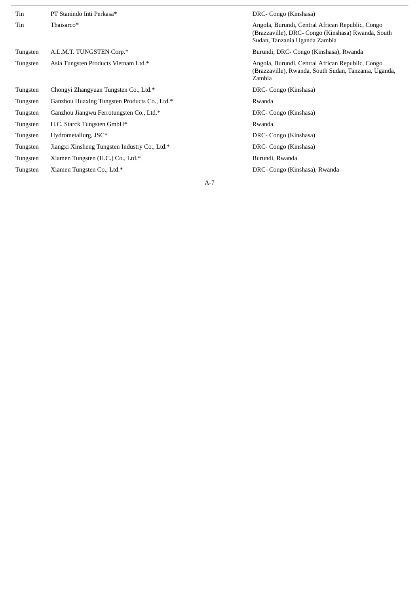| Tin      | PT Stanindo Inti Perkasa*                     | DRC- Congo (Kinshasa)                                                                                                                   |
|----------|-----------------------------------------------|-----------------------------------------------------------------------------------------------------------------------------------------|
| Tin      | Thaisarco*                                    | Angola, Burundi, Central African Republic, Congo<br>(Brazzaville), DRC- Congo (Kinshasa) Rwanda, South<br>Sudan, Tanzania Uganda Zambia |
| Tungsten | A.L.M.T. TUNGSTEN Corp.*                      | Burundi, DRC- Congo (Kinshasa), Rwanda                                                                                                  |
| Tungsten | Asia Tungsten Products Vietnam Ltd.*          | Angola, Burundi, Central African Republic, Congo<br>(Brazzaville), Rwanda, South Sudan, Tanzania, Uganda,<br>Zambia                     |
| Tungsten | Chongyi Zhangyuan Tungsten Co., Ltd.*         | DRC- Congo (Kinshasa)                                                                                                                   |
| Tungsten | Ganzhou Huaxing Tungsten Products Co., Ltd.*  | Rwanda                                                                                                                                  |
| Tungsten | Ganzhou Jiangwu Ferrotungsten Co., Ltd.*      | DRC- Congo (Kinshasa)                                                                                                                   |
| Tungsten | H.C. Starck Tungsten GmbH*                    | Rwanda                                                                                                                                  |
| Tungsten | Hydrometallurg, JSC*                          | DRC- Congo (Kinshasa)                                                                                                                   |
| Tungsten | Jiangxi Xinsheng Tungsten Industry Co., Ltd.* | DRC- Congo (Kinshasa)                                                                                                                   |
| Tungsten | Xiamen Tungsten (H.C.) Co., Ltd.*             | Burundi, Rwanda                                                                                                                         |
| Tungsten | Xiamen Tungsten Co., Ltd.*                    | DRC- Congo (Kinshasa), Rwanda                                                                                                           |
|          |                                               | $A-7$                                                                                                                                   |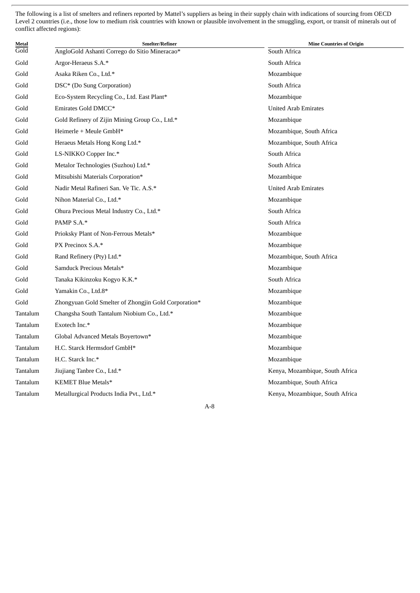The following is a list of smelters and refiners reported by Mattel's suppliers as being in their supply chain with indications of sourcing from OECD Level 2 countries (i.e., those low to medium risk countries with known or plausible involvement in the smuggling, export, or transit of minerals out of conflict affected regions):

| Metal    | <b>Smelter/Refiner</b>                               | <b>Mine Countries of Origin</b> |
|----------|------------------------------------------------------|---------------------------------|
| Gold     | AngloGold Ashanti Corrego do Sitio Mineracao*        | South Africa                    |
| Gold     | Argor-Heraeus S.A.*                                  | South Africa                    |
| Gold     | Asaka Riken Co., Ltd.*                               | Mozambique                      |
| Gold     | DSC* (Do Sung Corporation)                           | South Africa                    |
| Gold     | Eco-System Recycling Co., Ltd. East Plant*           | Mozambique                      |
| Gold     | Emirates Gold DMCC*                                  | <b>United Arab Emirates</b>     |
| Gold     | Gold Refinery of Zijin Mining Group Co., Ltd.*       | Mozambique                      |
| Gold     | Heimerle + Meule GmbH*                               | Mozambique, South Africa        |
| Gold     | Heraeus Metals Hong Kong Ltd.*                       | Mozambique, South Africa        |
| Gold     | LS-NIKKO Copper Inc.*                                | South Africa                    |
| Gold     | Metalor Technologies (Suzhou) Ltd.*                  | South Africa                    |
| Gold     | Mitsubishi Materials Corporation*                    | Mozambique                      |
| Gold     | Nadir Metal Rafineri San. Ve Tic. A.S.*              | <b>United Arab Emirates</b>     |
| Gold     | Nihon Material Co., Ltd.*                            | Mozambique                      |
| Gold     | Ohura Precious Metal Industry Co., Ltd.*             | South Africa                    |
| Gold     | PAMP S.A.*                                           | South Africa                    |
| Gold     | Prioksky Plant of Non-Ferrous Metals*                | Mozambique                      |
| Gold     | PX Precinox S.A.*                                    | Mozambique                      |
| Gold     | Rand Refinery (Pty) Ltd.*                            | Mozambique, South Africa        |
| Gold     | Samduck Precious Metals*                             | Mozambique                      |
| Gold     | Tanaka Kikinzoku Kogyo K.K.*                         | South Africa                    |
| Gold     | Yamakin Co., Ltd.8*                                  | Mozambique                      |
| Gold     | Zhongyuan Gold Smelter of Zhongjin Gold Corporation* | Mozambique                      |
| Tantalum | Changsha South Tantalum Niobium Co., Ltd.*           | Mozambique                      |
| Tantalum | Exotech Inc.*                                        | Mozambique                      |
| Tantalum | Global Advanced Metals Boyertown*                    | Mozambique                      |
| Tantalum | H.C. Starck Hermsdorf GmbH*                          | Mozambique                      |
| Tantalum | H.C. Starck Inc.*                                    | Mozambique                      |
| Tantalum | Jiujiang Tanbre Co., Ltd.*                           | Kenya, Mozambique, South Africa |
| Tantalum | KEMET Blue Metals*                                   | Mozambique, South Africa        |
| Tantalum | Metallurgical Products India Pvt., Ltd.*             | Kenya, Mozambique, South Africa |
|          |                                                      |                                 |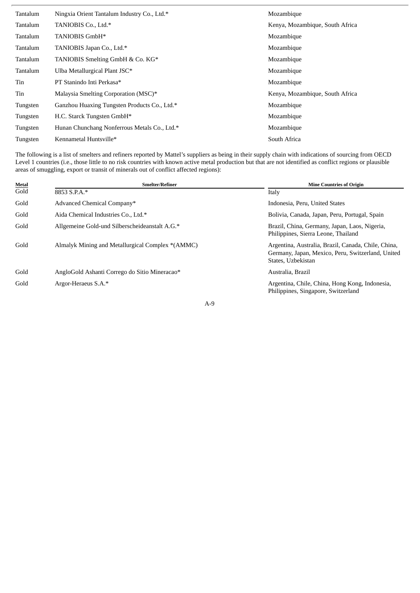| Tantalum | Ningxia Orient Tantalum Industry Co., Ltd.*  | Mozambique                      |
|----------|----------------------------------------------|---------------------------------|
| Tantalum | TANIOBIS Co., Ltd.*                          | Kenya, Mozambique, South Africa |
| Tantalum | TANIOBIS GmbH*                               | Mozambique                      |
| Tantalum | TANIOBIS Japan Co., Ltd.*                    | Mozambique                      |
| Tantalum | TANIOBIS Smelting GmbH & Co. KG*             | Mozambique                      |
| Tantalum | Ulba Metallurgical Plant JSC*                | Mozambique                      |
| Tin      | PT Stanindo Inti Perkasa*                    | Mozambique                      |
| Tin      | Malaysia Smelting Corporation (MSC)*         | Kenya, Mozambique, South Africa |
| Tungsten | Ganzhou Huaxing Tungsten Products Co., Ltd.* | Mozambique                      |
| Tungsten | H.C. Starck Tungsten GmbH*                   | Mozambique                      |
| Tungsten | Hunan Chunchang Nonferrous Metals Co., Ltd.* | Mozambique                      |
| Tungsten | Kennametal Huntsville*                       | South Africa                    |

The following is a list of smelters and refiners reported by Mattel's suppliers as being in their supply chain with indications of sourcing from OECD Level 1 countries (i.e., those little to no risk countries with known active metal production but that are not identified as conflict regions or plausible areas of smuggling, export or transit of minerals out of conflict affected regions):

| <b>Metal</b> | <b>Smelter/Refiner</b>                           | <b>Mine Countries of Origin</b>                                                                                                |
|--------------|--------------------------------------------------|--------------------------------------------------------------------------------------------------------------------------------|
| Gold         | 8853 S.P.A.*                                     | Italy                                                                                                                          |
| Gold         | Advanced Chemical Company*                       | Indonesia, Peru, United States                                                                                                 |
| Gold         | Aida Chemical Industries Co., Ltd.*              | Bolivia, Canada, Japan, Peru, Portugal, Spain                                                                                  |
| Gold         | Allgemeine Gold-und Silberscheideanstalt A.G.*   | Brazil, China, Germany, Japan, Laos, Nigeria,<br>Philippines, Sierra Leone, Thailand                                           |
| Gold         | Almalyk Mining and Metallurgical Complex *(AMMC) | Argentina, Australia, Brazil, Canada, Chile, China,<br>Germany, Japan, Mexico, Peru, Switzerland, United<br>States, Uzbekistan |
| Gold         | AngloGold Ashanti Corrego do Sitio Mineracao*    | Australia, Brazil                                                                                                              |
| Gold         | Argor-Heraeus S.A.*                              | Argentina, Chile, China, Hong Kong, Indonesia,<br>Philippines, Singapore, Switzerland                                          |
|              | $A-9$                                            |                                                                                                                                |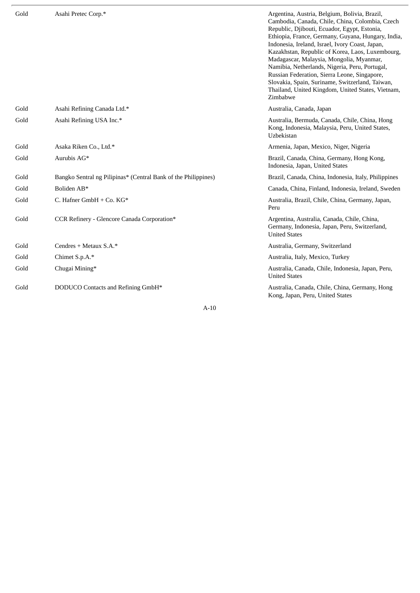| Gold | Asahi Pretec Corp.*                                            | Argentina, Austria, Belgium, Bolivia, Brazil,<br>Cambodia, Canada, Chile, China, Colombia, Czech<br>Republic, Djibouti, Ecuador, Egypt, Estonia,<br>Ethiopia, France, Germany, Guyana, Hungary, India,<br>Indonesia, Ireland, Israel, Ivory Coast, Japan,<br>Kazakhstan, Republic of Korea, Laos, Luxembourg,<br>Madagascar, Malaysia, Mongolia, Myanmar,<br>Namibia, Netherlands, Nigeria, Peru, Portugal,<br>Russian Federation, Sierra Leone, Singapore,<br>Slovakia, Spain, Suriname, Switzerland, Taiwan,<br>Thailand, United Kingdom, United States, Vietnam,<br>Zimbabwe |
|------|----------------------------------------------------------------|---------------------------------------------------------------------------------------------------------------------------------------------------------------------------------------------------------------------------------------------------------------------------------------------------------------------------------------------------------------------------------------------------------------------------------------------------------------------------------------------------------------------------------------------------------------------------------|
| Gold | Asahi Refining Canada Ltd.*                                    | Australia, Canada, Japan                                                                                                                                                                                                                                                                                                                                                                                                                                                                                                                                                        |
| Gold | Asahi Refining USA Inc.*                                       | Australia, Bermuda, Canada, Chile, China, Hong<br>Kong, Indonesia, Malaysia, Peru, United States,<br>Uzbekistan                                                                                                                                                                                                                                                                                                                                                                                                                                                                 |
| Gold | Asaka Riken Co., Ltd.*                                         | Armenia, Japan, Mexico, Niger, Nigeria                                                                                                                                                                                                                                                                                                                                                                                                                                                                                                                                          |
| Gold | Aurubis AG*                                                    | Brazil, Canada, China, Germany, Hong Kong,<br>Indonesia, Japan, United States                                                                                                                                                                                                                                                                                                                                                                                                                                                                                                   |
| Gold | Bangko Sentral ng Pilipinas* (Central Bank of the Philippines) | Brazil, Canada, China, Indonesia, Italy, Philippines                                                                                                                                                                                                                                                                                                                                                                                                                                                                                                                            |
| Gold | Boliden AB*                                                    | Canada, China, Finland, Indonesia, Ireland, Sweden                                                                                                                                                                                                                                                                                                                                                                                                                                                                                                                              |
| Gold | C. Hafner GmbH + Co. KG*                                       | Australia, Brazil, Chile, China, Germany, Japan,<br>Peru                                                                                                                                                                                                                                                                                                                                                                                                                                                                                                                        |
| Gold | CCR Refinery - Glencore Canada Corporation*                    | Argentina, Australia, Canada, Chile, China,<br>Germany, Indonesia, Japan, Peru, Switzerland,<br><b>United States</b>                                                                                                                                                                                                                                                                                                                                                                                                                                                            |
| Gold | Cendres + Metaux S.A.*                                         | Australia, Germany, Switzerland                                                                                                                                                                                                                                                                                                                                                                                                                                                                                                                                                 |
| Gold | Chimet S.p.A.*                                                 | Australia, Italy, Mexico, Turkey                                                                                                                                                                                                                                                                                                                                                                                                                                                                                                                                                |
| Gold | Chugai Mining*                                                 | Australia, Canada, Chile, Indonesia, Japan, Peru,<br><b>United States</b>                                                                                                                                                                                                                                                                                                                                                                                                                                                                                                       |
| Gold | DODUCO Contacts and Refining GmbH*                             | Australia, Canada, Chile, China, Germany, Hong<br>Kong, Japan, Peru, United States                                                                                                                                                                                                                                                                                                                                                                                                                                                                                              |
|      | $A-10$                                                         |                                                                                                                                                                                                                                                                                                                                                                                                                                                                                                                                                                                 |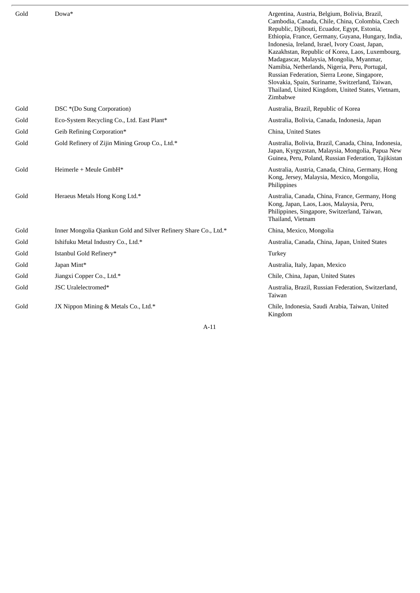| Gold | Dowa*                                                            | Argentina, Austria, Belgium, Bolivia, Brazil,<br>Cambodia, Canada, Chile, China, Colombia, Czech<br>Republic, Djibouti, Ecuador, Egypt, Estonia,<br>Ethiopia, France, Germany, Guyana, Hungary, India,<br>Indonesia, Ireland, Israel, Ivory Coast, Japan,<br>Kazakhstan, Republic of Korea, Laos, Luxembourg,<br>Madagascar, Malaysia, Mongolia, Myanmar,<br>Namibia, Netherlands, Nigeria, Peru, Portugal,<br>Russian Federation, Sierra Leone, Singapore,<br>Slovakia, Spain, Suriname, Switzerland, Taiwan,<br>Thailand, United Kingdom, United States, Vietnam,<br>Zimbabwe |
|------|------------------------------------------------------------------|---------------------------------------------------------------------------------------------------------------------------------------------------------------------------------------------------------------------------------------------------------------------------------------------------------------------------------------------------------------------------------------------------------------------------------------------------------------------------------------------------------------------------------------------------------------------------------|
| Gold | DSC *(Do Sung Corporation)                                       | Australia, Brazil, Republic of Korea                                                                                                                                                                                                                                                                                                                                                                                                                                                                                                                                            |
| Gold | Eco-System Recycling Co., Ltd. East Plant*                       | Australia, Bolivia, Canada, Indonesia, Japan                                                                                                                                                                                                                                                                                                                                                                                                                                                                                                                                    |
| Gold | Geib Refining Corporation*                                       | China, United States                                                                                                                                                                                                                                                                                                                                                                                                                                                                                                                                                            |
| Gold | Gold Refinery of Zijin Mining Group Co., Ltd.*                   | Australia, Bolivia, Brazil, Canada, China, Indonesia,<br>Japan, Kyrgyzstan, Malaysia, Mongolia, Papua New<br>Guinea, Peru, Poland, Russian Federation, Tajikistan                                                                                                                                                                                                                                                                                                                                                                                                               |
| Gold | Heimerle + Meule GmbH*                                           | Australia, Austria, Canada, China, Germany, Hong<br>Kong, Jersey, Malaysia, Mexico, Mongolia,<br>Philippines                                                                                                                                                                                                                                                                                                                                                                                                                                                                    |
| Gold | Heraeus Metals Hong Kong Ltd.*                                   | Australia, Canada, China, France, Germany, Hong<br>Kong, Japan, Laos, Laos, Malaysia, Peru,<br>Philippines, Singapore, Switzerland, Taiwan,<br>Thailand, Vietnam                                                                                                                                                                                                                                                                                                                                                                                                                |
| Gold | Inner Mongolia Qiankun Gold and Silver Refinery Share Co., Ltd.* | China, Mexico, Mongolia                                                                                                                                                                                                                                                                                                                                                                                                                                                                                                                                                         |
| Gold | Ishifuku Metal Industry Co., Ltd.*                               | Australia, Canada, China, Japan, United States                                                                                                                                                                                                                                                                                                                                                                                                                                                                                                                                  |
| Gold | Istanbul Gold Refinery*                                          | Turkey                                                                                                                                                                                                                                                                                                                                                                                                                                                                                                                                                                          |
| Gold | Japan Mint*                                                      | Australia, Italy, Japan, Mexico                                                                                                                                                                                                                                                                                                                                                                                                                                                                                                                                                 |
| Gold | Jiangxi Copper Co., Ltd.*                                        | Chile, China, Japan, United States                                                                                                                                                                                                                                                                                                                                                                                                                                                                                                                                              |
| Gold | JSC Uralelectromed*                                              | Australia, Brazil, Russian Federation, Switzerland,<br>Taiwan                                                                                                                                                                                                                                                                                                                                                                                                                                                                                                                   |
| Gold | JX Nippon Mining & Metals Co., Ltd.*                             | Chile, Indonesia, Saudi Arabia, Taiwan, United<br>Kingdom                                                                                                                                                                                                                                                                                                                                                                                                                                                                                                                       |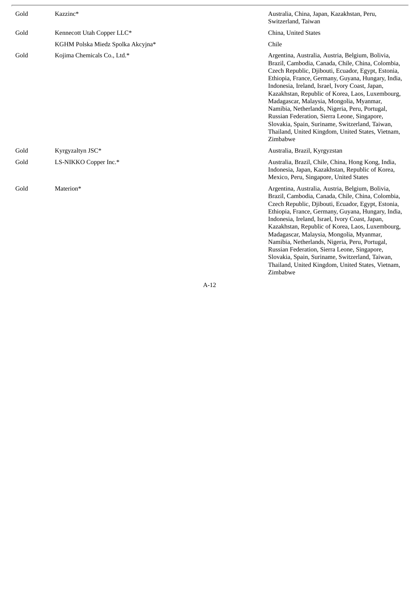| Gold | Kazzinc*                          | Australia, China, Japan, Kazakhstan, Peru,<br>Switzerland, Taiwan                                                                                                                                                                                                                                                                                                                                                                                                                                                                                                                          |
|------|-----------------------------------|--------------------------------------------------------------------------------------------------------------------------------------------------------------------------------------------------------------------------------------------------------------------------------------------------------------------------------------------------------------------------------------------------------------------------------------------------------------------------------------------------------------------------------------------------------------------------------------------|
| Gold | Kennecott Utah Copper LLC*        | China, United States                                                                                                                                                                                                                                                                                                                                                                                                                                                                                                                                                                       |
|      | KGHM Polska Miedz Spolka Akcyjna* | Chile                                                                                                                                                                                                                                                                                                                                                                                                                                                                                                                                                                                      |
| Gold | Kojima Chemicals Co., Ltd.*       | Argentina, Australia, Austria, Belgium, Bolivia,<br>Brazil, Cambodia, Canada, Chile, China, Colombia,<br>Czech Republic, Djibouti, Ecuador, Egypt, Estonia,<br>Ethiopia, France, Germany, Guyana, Hungary, India,<br>Indonesia, Ireland, Israel, Ivory Coast, Japan,<br>Kazakhstan, Republic of Korea, Laos, Luxembourg,<br>Madagascar, Malaysia, Mongolia, Myanmar,<br>Namibia, Netherlands, Nigeria, Peru, Portugal,<br>Russian Federation, Sierra Leone, Singapore,<br>Slovakia, Spain, Suriname, Switzerland, Taiwan,<br>Thailand, United Kingdom, United States, Vietnam,<br>Zimbabwe |
| Gold | Kyrgyzaltyn JSC*                  | Australia, Brazil, Kyrgyzstan                                                                                                                                                                                                                                                                                                                                                                                                                                                                                                                                                              |
| Gold | LS-NIKKO Copper Inc.*             | Australia, Brazil, Chile, China, Hong Kong, India,<br>Indonesia, Japan, Kazakhstan, Republic of Korea,<br>Mexico, Peru, Singapore, United States                                                                                                                                                                                                                                                                                                                                                                                                                                           |
| Gold | Materion*                         | Argentina, Australia, Austria, Belgium, Bolivia,<br>Brazil, Cambodia, Canada, Chile, China, Colombia,<br>Czech Republic, Djibouti, Ecuador, Egypt, Estonia,<br>Ethiopia, France, Germany, Guyana, Hungary, India,<br>Indonesia, Ireland, Israel, Ivory Coast, Japan,<br>Kazakhstan, Republic of Korea, Laos, Luxembourg,<br>Madagascar, Malaysia, Mongolia, Myanmar,<br>Namibia, Netherlands, Nigeria, Peru, Portugal,<br>Russian Federation, Sierra Leone, Singapore,<br>Slovakia, Spain, Suriname, Switzerland, Taiwan,<br>Thailand, United Kingdom, United States, Vietnam,<br>Zimbabwe |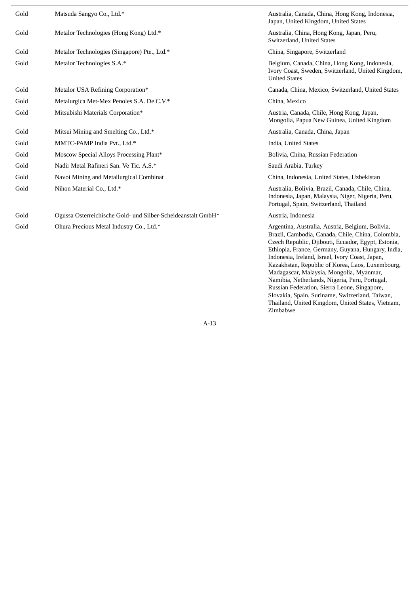| Gold | Matsuda Sangyo Co., Ltd.*                                    | Australia, Canada, China, Hong Kong, Indonesia,<br>Japan, United Kingdom, United States                                                                                                                                                                                                                                                                                                                                                                                                                                                                                                    |
|------|--------------------------------------------------------------|--------------------------------------------------------------------------------------------------------------------------------------------------------------------------------------------------------------------------------------------------------------------------------------------------------------------------------------------------------------------------------------------------------------------------------------------------------------------------------------------------------------------------------------------------------------------------------------------|
| Gold | Metalor Technologies (Hong Kong) Ltd.*                       | Australia, China, Hong Kong, Japan, Peru,<br>Switzerland, United States                                                                                                                                                                                                                                                                                                                                                                                                                                                                                                                    |
| Gold | Metalor Technologies (Singapore) Pte., Ltd.*                 | China, Singapore, Switzerland                                                                                                                                                                                                                                                                                                                                                                                                                                                                                                                                                              |
| Gold | Metalor Technologies S.A.*                                   | Belgium, Canada, China, Hong Kong, Indonesia,<br>Ivory Coast, Sweden, Switzerland, United Kingdom,<br><b>United States</b>                                                                                                                                                                                                                                                                                                                                                                                                                                                                 |
| Gold | Metalor USA Refining Corporation*                            | Canada, China, Mexico, Switzerland, United States                                                                                                                                                                                                                                                                                                                                                                                                                                                                                                                                          |
| Gold | Metalurgica Met-Mex Penoles S.A. De C.V.*                    | China, Mexico                                                                                                                                                                                                                                                                                                                                                                                                                                                                                                                                                                              |
| Gold | Mitsubishi Materials Corporation*                            | Austria, Canada, Chile, Hong Kong, Japan,<br>Mongolia, Papua New Guinea, United Kingdom                                                                                                                                                                                                                                                                                                                                                                                                                                                                                                    |
| Gold | Mitsui Mining and Smelting Co., Ltd.*                        | Australia, Canada, China, Japan                                                                                                                                                                                                                                                                                                                                                                                                                                                                                                                                                            |
| Gold | MMTC-PAMP India Pvt., Ltd.*                                  | India, United States                                                                                                                                                                                                                                                                                                                                                                                                                                                                                                                                                                       |
| Gold | Moscow Special Alloys Processing Plant*                      | Bolivia, China, Russian Federation                                                                                                                                                                                                                                                                                                                                                                                                                                                                                                                                                         |
| Gold | Nadir Metal Rafineri San. Ve Tic. A.S.*                      | Saudi Arabia, Turkey                                                                                                                                                                                                                                                                                                                                                                                                                                                                                                                                                                       |
| Gold | Navoi Mining and Metallurgical Combinat                      | China, Indonesia, United States, Uzbekistan                                                                                                                                                                                                                                                                                                                                                                                                                                                                                                                                                |
| Gold | Nihon Material Co., Ltd.*                                    | Australia, Bolivia, Brazil, Canada, Chile, China,<br>Indonesia, Japan, Malaysia, Niger, Nigeria, Peru,<br>Portugal, Spain, Switzerland, Thailand                                                                                                                                                                                                                                                                                                                                                                                                                                           |
| Gold | Ogussa Osterreichische Gold- und Silber-Scheideanstalt GmbH* | Austria, Indonesia                                                                                                                                                                                                                                                                                                                                                                                                                                                                                                                                                                         |
| Gold | Ohura Precious Metal Industry Co., Ltd.*                     | Argentina, Australia, Austria, Belgium, Bolivia,<br>Brazil, Cambodia, Canada, Chile, China, Colombia,<br>Czech Republic, Djibouti, Ecuador, Egypt, Estonia,<br>Ethiopia, France, Germany, Guyana, Hungary, India,<br>Indonesia, Ireland, Israel, Ivory Coast, Japan,<br>Kazakhstan, Republic of Korea, Laos, Luxembourg,<br>Madagascar, Malaysia, Mongolia, Myanmar,<br>Namibia, Netherlands, Nigeria, Peru, Portugal,<br>Russian Federation, Sierra Leone, Singapore,<br>Slovakia, Spain, Suriname, Switzerland, Taiwan,<br>Thailand, United Kingdom, United States, Vietnam,<br>Zimbabwe |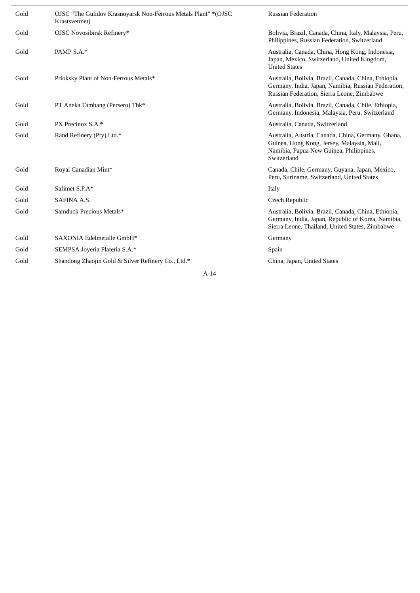| Gold | OJSC "The Gulidov Krasnoyarsk Non-Ferrous Metals Plant" * (OJSC<br>Krastsvetmet) | <b>Russian Federation</b>                                                                                                                                     |
|------|----------------------------------------------------------------------------------|---------------------------------------------------------------------------------------------------------------------------------------------------------------|
| Gold | OJSC Novosibirsk Refinery*                                                       | Bolivia, Brazil, Canada, China, Italy, Malaysia, Peru,<br>Philippines, Russian Federation, Switzerland                                                        |
| Gold | PAMP S.A.*                                                                       | Australia, Canada, China, Hong Kong, Indonesia,<br>Japan, Mexico, Switzerland, United Kingdom,<br><b>United States</b>                                        |
| Gold | Prioksky Plant of Non-Ferrous Metals*                                            | Australia, Bolivia, Brazil, Canada, China, Ethiopia,<br>Germany, India, Japan, Namibia, Russian Federation,<br>Russian Federation, Sierra Leone, Zimbabwe     |
| Gold | PT Aneka Tambang (Persero) Tbk*                                                  | Australia, Bolivia, Brazil, Canada, Chile, Ethiopia,<br>Germany, Indonesia, Malaysia, Peru, Switzerland                                                       |
| Gold | PX Precinox S.A.*                                                                | Australia, Canada, Switzerland                                                                                                                                |
| Gold | Rand Refinery (Pty) Ltd.*                                                        | Australia, Austria, Canada, China, Germany, Ghana,<br>Guinea, Hong Kong, Jersey, Malaysia, Mali,<br>Namibia, Papua New Guinea, Philippines,<br>Switzerland    |
| Gold | Royal Canadian Mint*                                                             | Canada, Chile, Germany, Guyana, Japan, Mexico,<br>Peru, Suriname, Switzerland, United States                                                                  |
| Gold | Safimet S.P.A*                                                                   | Italy                                                                                                                                                         |
| Gold | SAFINA A.S.                                                                      | Czech Republic                                                                                                                                                |
| Gold | Samduck Precious Metals*                                                         | Australia, Bolivia, Brazil, Canada, China, Ethiopia,<br>Germany, India, Japan, Republic of Korea, Namibia,<br>Sierra Leone, Thailand, United States, Zimbabwe |
| Gold | SAXONIA Edelmetalle GmbH*                                                        | Germany                                                                                                                                                       |
| Gold | SEMPSA Joyeria Plateria S.A.*                                                    | Spain                                                                                                                                                         |
| Gold | Shandong Zhaojin Gold & Silver Refinery Co., Ltd.*                               | China, Japan, United States                                                                                                                                   |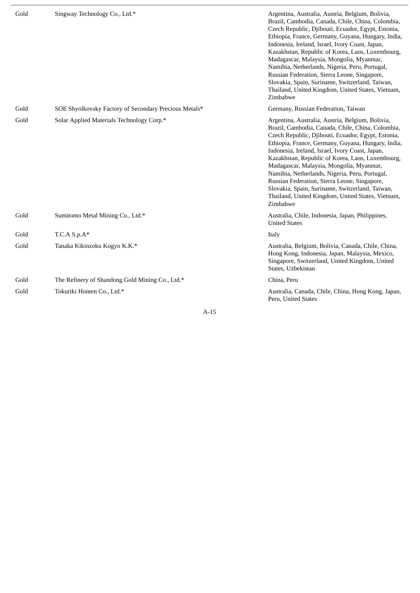| Gold | Singway Technology Co., Ltd.*                         | Argentina, Australia, Austria, Belgium, Bolivia,<br>Brazil, Cambodia, Canada, Chile, China, Colombia,<br>Czech Republic, Djibouti, Ecuador, Egypt, Estonia,<br>Ethiopia, France, Germany, Guyana, Hungary, India,<br>Indonesia, Ireland, Israel, Ivory Coast, Japan,<br>Kazakhstan, Republic of Korea, Laos, Luxembourg,<br>Madagascar, Malaysia, Mongolia, Myanmar,<br>Namibia, Netherlands, Nigeria, Peru, Portugal,<br>Russian Federation, Sierra Leone, Singapore,<br>Slovakia, Spain, Suriname, Switzerland, Taiwan,<br>Thailand, United Kingdom, United States, Vietnam,<br>Zimbabwe |
|------|-------------------------------------------------------|--------------------------------------------------------------------------------------------------------------------------------------------------------------------------------------------------------------------------------------------------------------------------------------------------------------------------------------------------------------------------------------------------------------------------------------------------------------------------------------------------------------------------------------------------------------------------------------------|
| Gold | SOE Shyolkovsky Factory of Secondary Precious Metals* | Germany, Russian Federation, Taiwan                                                                                                                                                                                                                                                                                                                                                                                                                                                                                                                                                        |
| Gold | Solar Applied Materials Technology Corp.*             | Argentina, Australia, Austria, Belgium, Bolivia,<br>Brazil, Cambodia, Canada, Chile, China, Colombia,<br>Czech Republic, Djibouti, Ecuador, Egypt, Estonia,<br>Ethiopia, France, Germany, Guyana, Hungary, India,<br>Indonesia, Ireland, Israel, Ivory Coast, Japan,<br>Kazakhstan, Republic of Korea, Laos, Luxembourg,<br>Madagascar, Malaysia, Mongolia, Myanmar,<br>Namibia, Netherlands, Nigeria, Peru, Portugal,<br>Russian Federation, Sierra Leone, Singapore,<br>Slovakia, Spain, Suriname, Switzerland, Taiwan,<br>Thailand, United Kingdom, United States, Vietnam,<br>Zimbabwe |
| Gold | Sumitomo Metal Mining Co., Ltd.*                      | Australia, Chile, Indonesia, Japan, Philippines,<br><b>United States</b>                                                                                                                                                                                                                                                                                                                                                                                                                                                                                                                   |
| Gold | $T.C.A S.p.A*$                                        | Italy                                                                                                                                                                                                                                                                                                                                                                                                                                                                                                                                                                                      |
| Gold | Tanaka Kikinzoku Kogyo K.K.*                          | Australia, Belgium, Bolivia, Canada, Chile, China,<br>Hong Kong, Indonesia, Japan, Malaysia, Mexico,<br>Singapore, Switzerland, United Kingdom, United<br>States, Uzbekistan                                                                                                                                                                                                                                                                                                                                                                                                               |
| Gold | The Refinery of Shandong Gold Mining Co., Ltd.*       | China, Peru                                                                                                                                                                                                                                                                                                                                                                                                                                                                                                                                                                                |
| Gold | Tokuriki Honten Co., Ltd.*                            | Australia, Canada, Chile, China, Hong Kong, Japan,<br>Peru, United States                                                                                                                                                                                                                                                                                                                                                                                                                                                                                                                  |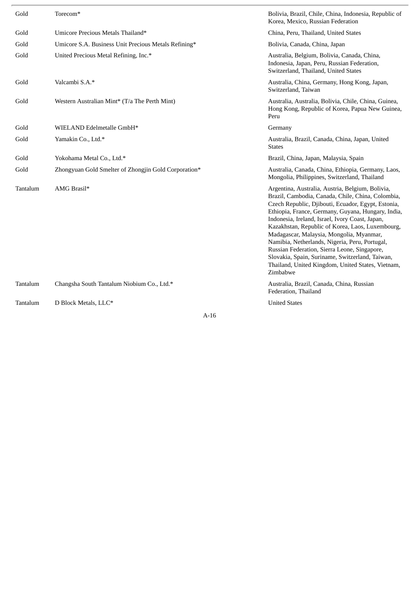| Gold     | Torecom*                                             | Bolivia, Brazil, Chile, China, Indonesia, Republic of<br>Korea, Mexico, Russian Federation                                                                                                                                                                                                                                                                                                                                                                                                                                                                                                 |
|----------|------------------------------------------------------|--------------------------------------------------------------------------------------------------------------------------------------------------------------------------------------------------------------------------------------------------------------------------------------------------------------------------------------------------------------------------------------------------------------------------------------------------------------------------------------------------------------------------------------------------------------------------------------------|
| Gold     | Umicore Precious Metals Thailand*                    | China, Peru, Thailand, United States                                                                                                                                                                                                                                                                                                                                                                                                                                                                                                                                                       |
| Gold     | Umicore S.A. Business Unit Precious Metals Refining* | Bolivia, Canada, China, Japan                                                                                                                                                                                                                                                                                                                                                                                                                                                                                                                                                              |
| Gold     | United Precious Metal Refining, Inc.*                | Australia, Belgium, Bolivia, Canada, China,<br>Indonesia, Japan, Peru, Russian Federation,<br>Switzerland, Thailand, United States                                                                                                                                                                                                                                                                                                                                                                                                                                                         |
| Gold     | Valcambi S.A.*                                       | Australia, China, Germany, Hong Kong, Japan,<br>Switzerland, Taiwan                                                                                                                                                                                                                                                                                                                                                                                                                                                                                                                        |
| Gold     | Western Australian Mint* (T/a The Perth Mint)        | Australia, Australia, Bolivia, Chile, China, Guinea,<br>Hong Kong, Republic of Korea, Papua New Guinea,<br>Peru                                                                                                                                                                                                                                                                                                                                                                                                                                                                            |
| Gold     | WIELAND Edelmetalle GmbH*                            | Germany                                                                                                                                                                                                                                                                                                                                                                                                                                                                                                                                                                                    |
| Gold     | Yamakin Co., Ltd.*                                   | Australia, Brazil, Canada, China, Japan, United<br><b>States</b>                                                                                                                                                                                                                                                                                                                                                                                                                                                                                                                           |
| Gold     | Yokohama Metal Co., Ltd.*                            | Brazil, China, Japan, Malaysia, Spain                                                                                                                                                                                                                                                                                                                                                                                                                                                                                                                                                      |
| Gold     | Zhongyuan Gold Smelter of Zhongjin Gold Corporation* | Australia, Canada, China, Ethiopia, Germany, Laos,<br>Mongolia, Philippines, Switzerland, Thailand                                                                                                                                                                                                                                                                                                                                                                                                                                                                                         |
| Tantalum | AMG Brasil*                                          | Argentina, Australia, Austria, Belgium, Bolivia,<br>Brazil, Cambodia, Canada, Chile, China, Colombia,<br>Czech Republic, Djibouti, Ecuador, Egypt, Estonia,<br>Ethiopia, France, Germany, Guyana, Hungary, India,<br>Indonesia, Ireland, Israel, Ivory Coast, Japan,<br>Kazakhstan, Republic of Korea, Laos, Luxembourg,<br>Madagascar, Malaysia, Mongolia, Myanmar,<br>Namibia, Netherlands, Nigeria, Peru, Portugal,<br>Russian Federation, Sierra Leone, Singapore,<br>Slovakia, Spain, Suriname, Switzerland, Taiwan,<br>Thailand, United Kingdom, United States, Vietnam,<br>Zimbabwe |
| Tantalum | Changsha South Tantalum Niobium Co., Ltd.*           | Australia, Brazil, Canada, China, Russian<br>Federation, Thailand                                                                                                                                                                                                                                                                                                                                                                                                                                                                                                                          |
| Tantalum | D Block Metals, LLC*                                 | <b>United States</b>                                                                                                                                                                                                                                                                                                                                                                                                                                                                                                                                                                       |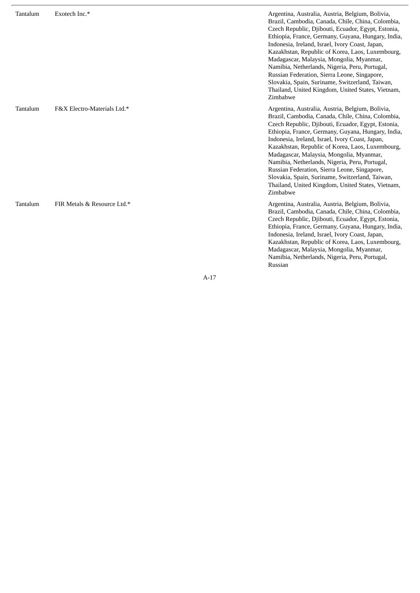| Tantalum | Exotech Inc.*               | Argentina, Australia, Austria, Belgium, Bolivia,<br>Brazil, Cambodia, Canada, Chile, China, Colombia,<br>Czech Republic, Djibouti, Ecuador, Egypt, Estonia,<br>Ethiopia, France, Germany, Guyana, Hungary, India,<br>Indonesia, Ireland, Israel, Ivory Coast, Japan,<br>Kazakhstan, Republic of Korea, Laos, Luxembourg,<br>Madagascar, Malaysia, Mongolia, Myanmar,<br>Namibia, Netherlands, Nigeria, Peru, Portugal,<br>Russian Federation, Sierra Leone, Singapore,<br>Slovakia, Spain, Suriname, Switzerland, Taiwan,<br>Thailand, United Kingdom, United States, Vietnam,<br>Zimbabwe |
|----------|-----------------------------|--------------------------------------------------------------------------------------------------------------------------------------------------------------------------------------------------------------------------------------------------------------------------------------------------------------------------------------------------------------------------------------------------------------------------------------------------------------------------------------------------------------------------------------------------------------------------------------------|
| Tantalum | F&X Electro-Materials Ltd.* | Argentina, Australia, Austria, Belgium, Bolivia,<br>Brazil, Cambodia, Canada, Chile, China, Colombia,<br>Czech Republic, Djibouti, Ecuador, Egypt, Estonia,<br>Ethiopia, France, Germany, Guyana, Hungary, India,<br>Indonesia, Ireland, Israel, Ivory Coast, Japan,<br>Kazakhstan, Republic of Korea, Laos, Luxembourg,<br>Madagascar, Malaysia, Mongolia, Myanmar,<br>Namibia, Netherlands, Nigeria, Peru, Portugal,<br>Russian Federation, Sierra Leone, Singapore,<br>Slovakia, Spain, Suriname, Switzerland, Taiwan,<br>Thailand, United Kingdom, United States, Vietnam,<br>Zimbabwe |
| Tantalum | FIR Metals & Resource Ltd.* | Argentina, Australia, Austria, Belgium, Bolivia,<br>Brazil, Cambodia, Canada, Chile, China, Colombia,<br>Czech Republic, Djibouti, Ecuador, Egypt, Estonia,<br>Ethiopia, France, Germany, Guyana, Hungary, India,<br>Indonesia, Ireland, Israel, Ivory Coast, Japan,<br>Kazakhstan, Republic of Korea, Laos, Luxembourg,<br>Madagascar, Malaysia, Mongolia, Myanmar,<br>Namibia, Netherlands, Nigeria, Peru, Portugal,                                                                                                                                                                     |

Russian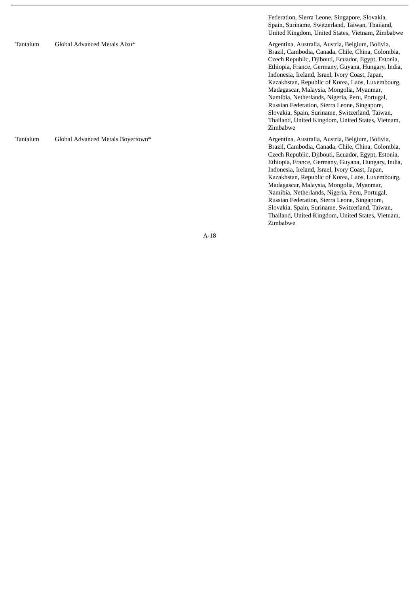Federation, Sierra Leone, Singapore, Slovakia, Spain, Suriname, Switzerland, Taiwan, Thailand, United Kingdom, United States, Vietnam, Zimbabwe Tantalum Global Advanced Metals Aizu\* Argentina, Australia, Austria, Belgium, Bolivia, Brazil, Cambodia, Canada, Chile, China, Colombia, Czech Republic, Djibouti, Ecuador, Egypt, Estonia, Ethiopia, France, Germany, Guyana, Hungary, India, Indonesia, Ireland, Israel, Ivory Coast, Japan, Kazakhstan, Republic of Korea, Laos, Luxembourg, Madagascar, Malaysia, Mongolia, Myanmar, Namibia, Netherlands, Nigeria, Peru, Portugal, Russian Federation, Sierra Leone, Singapore, Slovakia, Spain, Suriname, Switzerland, Taiwan, Thailand, United Kingdom, United States, Vietnam,<br>Zimbabwe i m b a b w e Tantalum Global Advanced Metals Boyertown\* Argentina, Australia, Austria, Belgium, Bolivia, Brazil, Cambodia, Canada, Chile, China, Colombia, Czech Republic, Djibouti, Ecuador, Egypt, Estonia, Ethiopia, France, Germany, Guyana, Hungary, India, Indonesia, Ireland, Israel, Ivory Coast, Japan, Kazakhstan, Republic of Korea, Laos, Luxembourg, Madagascar, Malaysia, Mongolia, Myanmar, Namibia, Netherlands, Nigeria, Peru, Portugal,

A-18

Russian Federation, Sierra Leone, Singapore, Slovakia, Spain, Suriname, Switzerland, Taiwan, Thailand, United Kingdom, United States, Vietnam,<br>Zimbabwe

i m b a b w e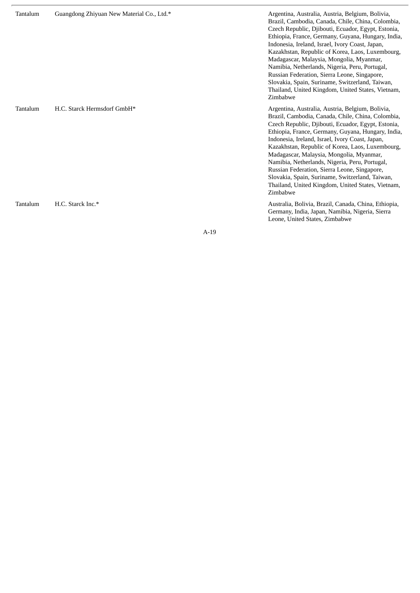| Tantalum | Guangdong Zhiyuan New Material Co., Ltd.* | Argentina, Australia, Austria, Belgium, Bolivia,<br>Brazil, Cambodia, Canada, Chile, China, Colombia,<br>Czech Republic, Djibouti, Ecuador, Egypt, Estonia,<br>Ethiopia, France, Germany, Guyana, Hungary, India,<br>Indonesia, Ireland, Israel, Ivory Coast, Japan,<br>Kazakhstan, Republic of Korea, Laos, Luxembourg,<br>Madagascar, Malaysia, Mongolia, Myanmar,<br>Namibia, Netherlands, Nigeria, Peru, Portugal,<br>Russian Federation, Sierra Leone, Singapore,<br>Slovakia, Spain, Suriname, Switzerland, Taiwan,<br>Thailand, United Kingdom, United States, Vietnam,<br>Zimbabwe |
|----------|-------------------------------------------|--------------------------------------------------------------------------------------------------------------------------------------------------------------------------------------------------------------------------------------------------------------------------------------------------------------------------------------------------------------------------------------------------------------------------------------------------------------------------------------------------------------------------------------------------------------------------------------------|
| Tantalum | H.C. Starck Hermsdorf GmbH*               | Argentina, Australia, Austria, Belgium, Bolivia,<br>Brazil, Cambodia, Canada, Chile, China, Colombia,<br>Czech Republic, Djibouti, Ecuador, Egypt, Estonia,<br>Ethiopia, France, Germany, Guyana, Hungary, India,<br>Indonesia, Ireland, Israel, Ivory Coast, Japan,<br>Kazakhstan, Republic of Korea, Laos, Luxembourg,<br>Madagascar, Malaysia, Mongolia, Myanmar,<br>Namibia, Netherlands, Nigeria, Peru, Portugal,<br>Russian Federation, Sierra Leone, Singapore,<br>Slovakia, Spain, Suriname, Switzerland, Taiwan,<br>Thailand, United Kingdom, United States, Vietnam,<br>Zimbabwe |
| Tantalum | H.C. Starck Inc.*                         | Australia, Bolivia, Brazil, Canada, China, Ethiopia,<br>Germany, India, Japan, Namibia, Nigeria, Sierra<br>Leone, United States, Zimbabwe                                                                                                                                                                                                                                                                                                                                                                                                                                                  |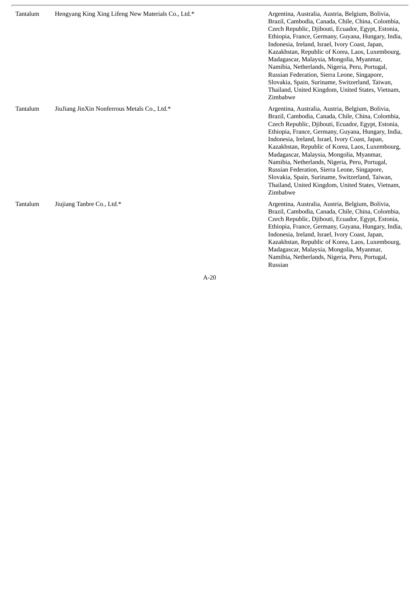| Tantalum | Hengyang King Xing Lifeng New Materials Co., Ltd.* | Argentina, Australia, Austria, Belgium, Bolivia,<br>Brazil, Cambodia, Canada, Chile, China, Colombia,<br>Czech Republic, Djibouti, Ecuador, Egypt, Estonia,<br>Ethiopia, France, Germany, Guyana, Hungary, India,<br>Indonesia, Ireland, Israel, Ivory Coast, Japan,<br>Kazakhstan, Republic of Korea, Laos, Luxembourg,<br>Madagascar, Malaysia, Mongolia, Myanmar,<br>Namibia, Netherlands, Nigeria, Peru, Portugal,<br>Russian Federation, Sierra Leone, Singapore,<br>Slovakia, Spain, Suriname, Switzerland, Taiwan,<br>Thailand, United Kingdom, United States, Vietnam,<br>Zimbabwe |
|----------|----------------------------------------------------|--------------------------------------------------------------------------------------------------------------------------------------------------------------------------------------------------------------------------------------------------------------------------------------------------------------------------------------------------------------------------------------------------------------------------------------------------------------------------------------------------------------------------------------------------------------------------------------------|
| Tantalum | JiuJiang JinXin Nonferrous Metals Co., Ltd.*       | Argentina, Australia, Austria, Belgium, Bolivia,<br>Brazil, Cambodia, Canada, Chile, China, Colombia,<br>Czech Republic, Djibouti, Ecuador, Egypt, Estonia,<br>Ethiopia, France, Germany, Guyana, Hungary, India,<br>Indonesia, Ireland, Israel, Ivory Coast, Japan,<br>Kazakhstan, Republic of Korea, Laos, Luxembourg,<br>Madagascar, Malaysia, Mongolia, Myanmar,<br>Namibia, Netherlands, Nigeria, Peru, Portugal,<br>Russian Federation, Sierra Leone, Singapore,<br>Slovakia, Spain, Suriname, Switzerland, Taiwan,<br>Thailand, United Kingdom, United States, Vietnam,<br>Zimbabwe |
| Tantalum | Jiujiang Tanbre Co., Ltd.*                         | Argentina, Australia, Austria, Belgium, Bolivia,<br>Brazil, Cambodia, Canada, Chile, China, Colombia,<br>Czech Republic, Djibouti, Ecuador, Egypt, Estonia,<br>Ethiopia, France, Germany, Guyana, Hungary, India,<br>Indonesia, Ireland, Israel, Ivory Coast, Japan,<br>Kazakhstan, Republic of Korea, Laos, Luxembourg,<br>Madagascar, Malaysia, Mongolia, Myanmar,<br>Namibia, Netherlands, Nigeria, Peru, Portugal,                                                                                                                                                                     |

Russian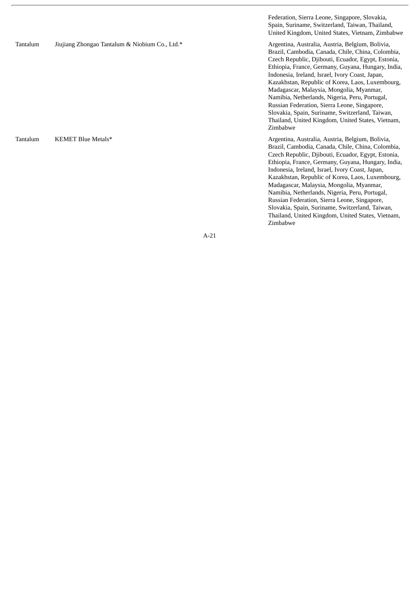Federation, Sierra Leone, Singapore, Slovakia, Spain, Suriname, Switzerland, Taiwan, Thailand, United Kingdom, United States, Vietnam, Zimbabwe

Brazil, Cambodia, Canada, Chile, China, Colombia, Czech Republic, Djibouti, Ecuador, Egypt, Estonia, Ethiopia, France, Germany, Guyana, Hungary, India, Indonesia, Ireland, Israel, Ivory Coast, Japan, Kazakhstan, Republic of Korea, Laos, Luxembourg, Madagascar, Malaysia, Mongolia, Myanmar, Namibia, Netherlands, Nigeria, Peru, Portugal, Russian Federation, Sierra Leone, Singapore, Slovakia, Spain, Suriname, Switzerland, Taiwan, Thailand, United Kingdom, United States, Vietnam, Zimbabwe

Brazil, Cambodia, Canada, Chile, China, Colombia, Czech Republic, Djibouti, Ecuador, Egypt, Estonia, Ethiopia, France, Germany, Guyana, Hungary, India, Indonesia, Ireland, Israel, Ivory Coast, Japan, Kazakhstan, Republic of Korea, Laos, Luxembourg, Madagascar, Malaysia, Mongolia, Myanmar, Namibia, Netherlands, Nigeria, Peru, Portugal, Russian Federation, Sierra Leone, Singapore, Slovakia, Spain, Suriname, Switzerland, Taiwan, Thailand, United Kingdom, United States, Vietnam, Zimbabwe

A-21

Tantalum Jiujiang Zhongao Tantalum & Niobium Co., Ltd.\* Argentina, Australia, Australia, Austria, Belgium, Bolivia,

Tantalum KEMET Blue Metals\* **Argentina, Australia, Australia, Australia**, Austria, Belgium, Bolivia,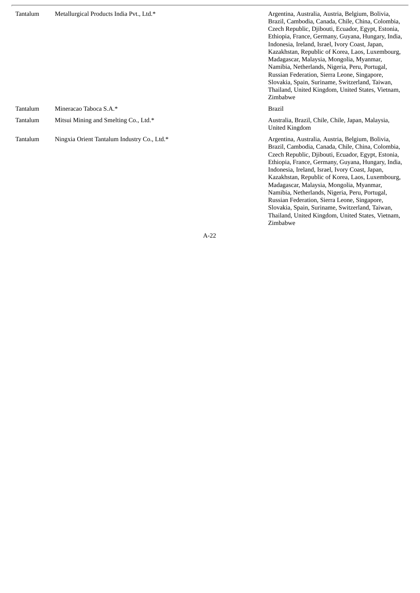| Tantalum | Metallurgical Products India Pvt., Ltd.*    | Argentina, Australia, Austria, Belgium, Bolivia,<br>Brazil, Cambodia, Canada, Chile, China, Colombia,<br>Czech Republic, Djibouti, Ecuador, Egypt, Estonia,<br>Ethiopia, France, Germany, Guyana, Hungary, India,<br>Indonesia, Ireland, Israel, Ivory Coast, Japan,<br>Kazakhstan, Republic of Korea, Laos, Luxembourg,<br>Madagascar, Malaysia, Mongolia, Myanmar,<br>Namibia, Netherlands, Nigeria, Peru, Portugal,<br>Russian Federation, Sierra Leone, Singapore,<br>Slovakia, Spain, Suriname, Switzerland, Taiwan,<br>Thailand, United Kingdom, United States, Vietnam,<br>Zimbabwe |
|----------|---------------------------------------------|--------------------------------------------------------------------------------------------------------------------------------------------------------------------------------------------------------------------------------------------------------------------------------------------------------------------------------------------------------------------------------------------------------------------------------------------------------------------------------------------------------------------------------------------------------------------------------------------|
| Tantalum | Mineracao Taboca S.A.*                      | <b>Brazil</b>                                                                                                                                                                                                                                                                                                                                                                                                                                                                                                                                                                              |
| Tantalum | Mitsui Mining and Smelting Co., Ltd.*       | Australia, Brazil, Chile, Chile, Japan, Malaysia,<br>United Kingdom                                                                                                                                                                                                                                                                                                                                                                                                                                                                                                                        |
| Tantalum | Ningxia Orient Tantalum Industry Co., Ltd.* | Argentina, Australia, Austria, Belgium, Bolivia,<br>Brazil, Cambodia, Canada, Chile, China, Colombia,<br>Czech Republic, Djibouti, Ecuador, Egypt, Estonia,<br>Ethiopia, France, Germany, Guyana, Hungary, India,<br>Indonesia, Ireland, Israel, Ivory Coast, Japan,<br>Kazakhstan, Republic of Korea, Laos, Luxembourg,<br>Madagascar, Malaysia, Mongolia, Myanmar,                                                                                                                                                                                                                       |

Namibia, Netherlands, Nigeria, Peru, Portugal, Russian Federation, Sierra Leone, Singapore, Slovakia, Spain, Suriname, Switzerland, Taiwan, Thailand, United Kingdom, United States, Vietnam,

Zimbabwe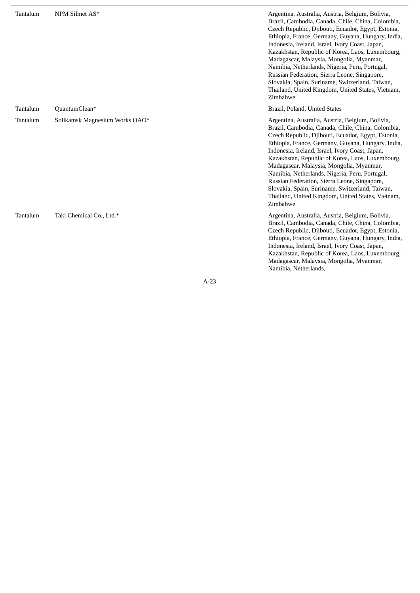| Tantalum | NPM Silmet AS*                 | Argentina, Australia, Austria, Belgium, Bolivia,<br>Brazil, Cambodia, Canada, Chile, China, Colombia,<br>Czech Republic, Djibouti, Ecuador, Egypt, Estonia,<br>Ethiopia, France, Germany, Guyana, Hungary, India,<br>Indonesia, Ireland, Israel, Ivory Coast, Japan,<br>Kazakhstan, Republic of Korea, Laos, Luxembourg,<br>Madagascar, Malaysia, Mongolia, Myanmar,<br>Namibia, Netherlands, Nigeria, Peru, Portugal,<br>Russian Federation, Sierra Leone, Singapore,<br>Slovakia, Spain, Suriname, Switzerland, Taiwan,<br>Thailand, United Kingdom, United States, Vietnam,<br>Zimbabwe |
|----------|--------------------------------|--------------------------------------------------------------------------------------------------------------------------------------------------------------------------------------------------------------------------------------------------------------------------------------------------------------------------------------------------------------------------------------------------------------------------------------------------------------------------------------------------------------------------------------------------------------------------------------------|
| Tantalum | QuantumClean*                  | Brazil, Poland, United States                                                                                                                                                                                                                                                                                                                                                                                                                                                                                                                                                              |
| Tantalum | Solikamsk Magnesium Works OAO* | Argentina, Australia, Austria, Belgium, Bolivia,<br>Brazil, Cambodia, Canada, Chile, China, Colombia,<br>Czech Republic, Djibouti, Ecuador, Egypt, Estonia,<br>Ethiopia, France, Germany, Guyana, Hungary, India,<br>Indonesia, Ireland, Israel, Ivory Coast, Japan,<br>Kazakhstan, Republic of Korea, Laos, Luxembourg,<br>Madagascar, Malaysia, Mongolia, Myanmar,<br>Namibia, Netherlands, Nigeria, Peru, Portugal,<br>Russian Federation, Sierra Leone, Singapore,<br>Slovakia, Spain, Suriname, Switzerland, Taiwan,<br>Thailand, United Kingdom, United States, Vietnam,<br>Zimbabwe |
| Tantalum | Taki Chemical Co., Ltd.*       | Argentina, Australia, Austria, Belgium, Bolivia,<br>Brazil, Cambodia, Canada, Chile, China, Colombia,<br>Czech Republic, Djibouti, Ecuador, Egypt, Estonia,<br>Ethiopia, France, Germany, Guyana, Hungary, India,<br>Indonesia, Ireland, Israel, Ivory Coast, Japan,<br>Kazakhstan, Republic of Korea, Laos, Luxembourg,<br>Madagascar, Malaysia, Mongolia, Myanmar,                                                                                                                                                                                                                       |

Namibia, Netherlands,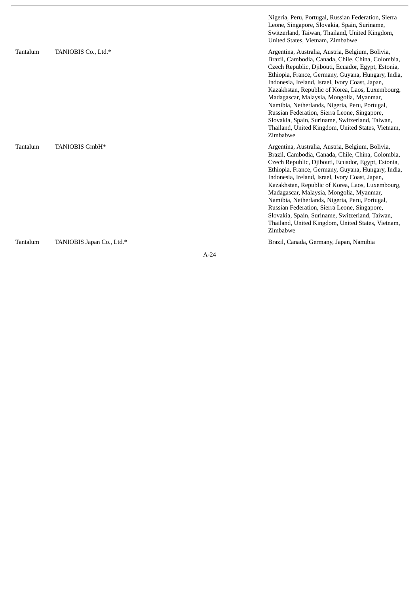|          |                           | Nigeria, Peru, Portugal, Russian Federation, Sierra<br>Leone, Singapore, Slovakia, Spain, Suriname,<br>Switzerland, Taiwan, Thailand, United Kingdom,<br>United States, Vietnam, Zimbabwe                                                                                                                                                                                                                                                                                                                                                                                                  |
|----------|---------------------------|--------------------------------------------------------------------------------------------------------------------------------------------------------------------------------------------------------------------------------------------------------------------------------------------------------------------------------------------------------------------------------------------------------------------------------------------------------------------------------------------------------------------------------------------------------------------------------------------|
| Tantalum | TANIOBIS Co., Ltd.*       | Argentina, Australia, Austria, Belgium, Bolivia,<br>Brazil, Cambodia, Canada, Chile, China, Colombia,<br>Czech Republic, Djibouti, Ecuador, Egypt, Estonia,<br>Ethiopia, France, Germany, Guyana, Hungary, India,<br>Indonesia, Ireland, Israel, Ivory Coast, Japan,<br>Kazakhstan, Republic of Korea, Laos, Luxembourg,<br>Madagascar, Malaysia, Mongolia, Myanmar,<br>Namibia, Netherlands, Nigeria, Peru, Portugal,<br>Russian Federation, Sierra Leone, Singapore,<br>Slovakia, Spain, Suriname, Switzerland, Taiwan,<br>Thailand, United Kingdom, United States, Vietnam,<br>Zimbabwe |
| Tantalum | TANIOBIS GmbH*            | Argentina, Australia, Austria, Belgium, Bolivia,<br>Brazil, Cambodia, Canada, Chile, China, Colombia,<br>Czech Republic, Djibouti, Ecuador, Egypt, Estonia,<br>Ethiopia, France, Germany, Guyana, Hungary, India,<br>Indonesia, Ireland, Israel, Ivory Coast, Japan,<br>Kazakhstan, Republic of Korea, Laos, Luxembourg,<br>Madagascar, Malaysia, Mongolia, Myanmar,<br>Namibia, Netherlands, Nigeria, Peru, Portugal,<br>Russian Federation, Sierra Leone, Singapore,<br>Slovakia, Spain, Suriname, Switzerland, Taiwan,<br>Thailand, United Kingdom, United States, Vietnam,<br>Zimbabwe |
| Tantalum | TANIOBIS Japan Co., Ltd.* | Brazil, Canada, Germany, Japan, Namibia                                                                                                                                                                                                                                                                                                                                                                                                                                                                                                                                                    |

ł.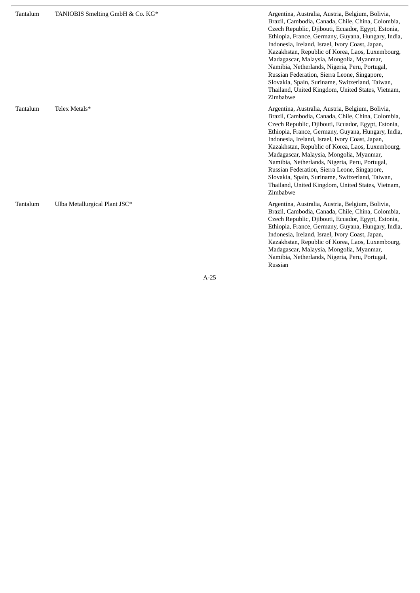| Tantalum | TANIOBIS Smelting GmbH & Co. KG* | Argentina, Australia, Austria, Belgium, Bolivia,<br>Brazil, Cambodia, Canada, Chile, China, Colombia,<br>Czech Republic, Djibouti, Ecuador, Egypt, Estonia,<br>Ethiopia, France, Germany, Guyana, Hungary, India,<br>Indonesia, Ireland, Israel, Ivory Coast, Japan,<br>Kazakhstan, Republic of Korea, Laos, Luxembourg,<br>Madagascar, Malaysia, Mongolia, Myanmar,<br>Namibia, Netherlands, Nigeria, Peru, Portugal,<br>Russian Federation, Sierra Leone, Singapore,<br>Slovakia, Spain, Suriname, Switzerland, Taiwan,<br>Thailand, United Kingdom, United States, Vietnam,<br>Zimbabwe |
|----------|----------------------------------|--------------------------------------------------------------------------------------------------------------------------------------------------------------------------------------------------------------------------------------------------------------------------------------------------------------------------------------------------------------------------------------------------------------------------------------------------------------------------------------------------------------------------------------------------------------------------------------------|
| Tantalum | Telex Metals*                    | Argentina, Australia, Austria, Belgium, Bolivia,<br>Brazil, Cambodia, Canada, Chile, China, Colombia,<br>Czech Republic, Djibouti, Ecuador, Egypt, Estonia,<br>Ethiopia, France, Germany, Guyana, Hungary, India,<br>Indonesia, Ireland, Israel, Ivory Coast, Japan,<br>Kazakhstan, Republic of Korea, Laos, Luxembourg,<br>Madagascar, Malaysia, Mongolia, Myanmar,<br>Namibia, Netherlands, Nigeria, Peru, Portugal,<br>Russian Federation, Sierra Leone, Singapore,<br>Slovakia, Spain, Suriname, Switzerland, Taiwan,<br>Thailand, United Kingdom, United States, Vietnam,<br>Zimbabwe |
| Tantalum | Ulba Metallurgical Plant JSC*    | Argentina, Australia, Austria, Belgium, Bolivia,<br>Brazil, Cambodia, Canada, Chile, China, Colombia,<br>Czech Republic, Djibouti, Ecuador, Egypt, Estonia,<br>Ethiopia, France, Germany, Guyana, Hungary, India,<br>Indonesia, Ireland, Israel, Ivory Coast, Japan,<br>Kazakhstan, Republic of Korea, Laos, Luxembourg,<br>Madagascar, Malaysia, Mongolia, Myanmar,<br>Namibia, Netherlands, Nigeria, Peru, Portugal,                                                                                                                                                                     |

Russian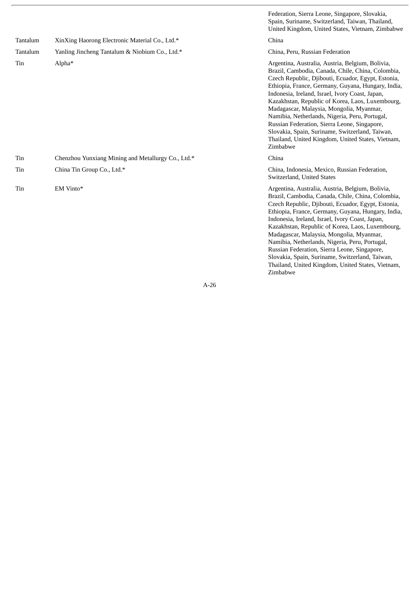|          |                                                    | Federation, Sierra Leone, Singapore, Slovakia,<br>Spain, Suriname, Switzerland, Taiwan, Thailand,<br>United Kingdom, United States, Vietnam, Zimbabwe                                                                                                                                                                                                                                                                                                                                                                                                                                      |
|----------|----------------------------------------------------|--------------------------------------------------------------------------------------------------------------------------------------------------------------------------------------------------------------------------------------------------------------------------------------------------------------------------------------------------------------------------------------------------------------------------------------------------------------------------------------------------------------------------------------------------------------------------------------------|
| Tantalum | XinXing Haorong Electronic Material Co., Ltd.*     | China                                                                                                                                                                                                                                                                                                                                                                                                                                                                                                                                                                                      |
| Tantalum | Yanling Jincheng Tantalum & Niobium Co., Ltd.*     | China, Peru, Russian Federation                                                                                                                                                                                                                                                                                                                                                                                                                                                                                                                                                            |
| Tin      | Alpha*                                             | Argentina, Australia, Austria, Belgium, Bolivia,<br>Brazil, Cambodia, Canada, Chile, China, Colombia,<br>Czech Republic, Djibouti, Ecuador, Egypt, Estonia,<br>Ethiopia, France, Germany, Guyana, Hungary, India,<br>Indonesia, Ireland, Israel, Ivory Coast, Japan,<br>Kazakhstan, Republic of Korea, Laos, Luxembourg,<br>Madagascar, Malaysia, Mongolia, Myanmar,<br>Namibia, Netherlands, Nigeria, Peru, Portugal,<br>Russian Federation, Sierra Leone, Singapore,<br>Slovakia, Spain, Suriname, Switzerland, Taiwan,<br>Thailand, United Kingdom, United States, Vietnam,<br>Zimbabwe |
| Tin      | Chenzhou Yunxiang Mining and Metallurgy Co., Ltd.* | China                                                                                                                                                                                                                                                                                                                                                                                                                                                                                                                                                                                      |
| Tin      | China Tin Group Co., Ltd.*                         | China, Indonesia, Mexico, Russian Federation,<br>Switzerland, United States                                                                                                                                                                                                                                                                                                                                                                                                                                                                                                                |
| Tin      | EM Vinto*                                          | Argentina, Australia, Austria, Belgium, Bolivia,<br>Brazil, Cambodia, Canada, Chile, China, Colombia,<br>Czech Republic, Djibouti, Ecuador, Egypt, Estonia,<br>Ethiopia, France, Germany, Guyana, Hungary, India,<br>Indonesia, Ireland, Israel, Ivory Coast, Japan,<br>Kazakhstan, Republic of Korea, Laos, Luxembourg,<br>Madagascar, Malaysia, Mongolia, Myanmar,<br>Namibia, Netherlands, Nigeria, Peru, Portugal,<br>Russian Federation, Sierra Leone, Singapore,<br>Slovakia, Spain, Suriname, Switzerland, Taiwan,<br>Thailand, United Kingdom, United States, Vietnam,<br>Zimbabwe |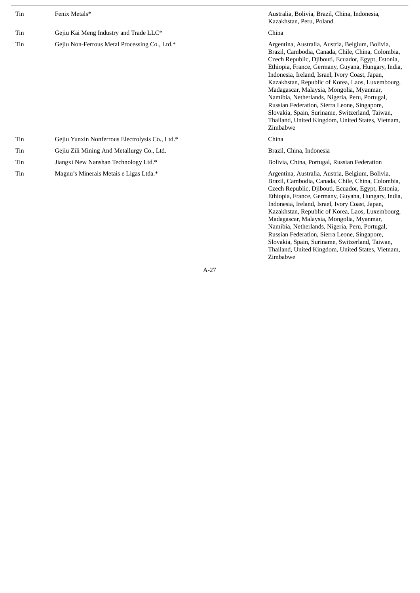| Tin | Fenix Metals*                                   | Australia, Bolivia, Brazil, China, Indonesia,<br>Kazakhstan, Peru, Poland                                                                                                                                                                                                                                                                                                                                                                                                                                                                                                                  |
|-----|-------------------------------------------------|--------------------------------------------------------------------------------------------------------------------------------------------------------------------------------------------------------------------------------------------------------------------------------------------------------------------------------------------------------------------------------------------------------------------------------------------------------------------------------------------------------------------------------------------------------------------------------------------|
| Tin | Gejiu Kai Meng Industry and Trade LLC*          | China                                                                                                                                                                                                                                                                                                                                                                                                                                                                                                                                                                                      |
| Tin | Gejiu Non-Ferrous Metal Processing Co., Ltd.*   | Argentina, Australia, Austria, Belgium, Bolivia,<br>Brazil, Cambodia, Canada, Chile, China, Colombia,<br>Czech Republic, Djibouti, Ecuador, Egypt, Estonia,<br>Ethiopia, France, Germany, Guyana, Hungary, India,<br>Indonesia, Ireland, Israel, Ivory Coast, Japan,<br>Kazakhstan, Republic of Korea, Laos, Luxembourg,<br>Madagascar, Malaysia, Mongolia, Myanmar,<br>Namibia, Netherlands, Nigeria, Peru, Portugal,<br>Russian Federation, Sierra Leone, Singapore,<br>Slovakia, Spain, Suriname, Switzerland, Taiwan,<br>Thailand, United Kingdom, United States, Vietnam,<br>Zimbabwe |
| Tin | Gejiu Yunxin Nonferrous Electrolysis Co., Ltd.* | China                                                                                                                                                                                                                                                                                                                                                                                                                                                                                                                                                                                      |
| Tin | Gejiu Zili Mining And Metallurgy Co., Ltd.      | Brazil, China, Indonesia                                                                                                                                                                                                                                                                                                                                                                                                                                                                                                                                                                   |
| Tin | Jiangxi New Nanshan Technology Ltd.*            | Bolivia, China, Portugal, Russian Federation                                                                                                                                                                                                                                                                                                                                                                                                                                                                                                                                               |
| Tin | Magnu's Minerais Metais e Ligas Ltda.*          | Argentina, Australia, Austria, Belgium, Bolivia,<br>Brazil, Cambodia, Canada, Chile, China, Colombia,<br>Czech Republic, Djibouti, Ecuador, Egypt, Estonia,<br>Ethiopia, France, Germany, Guyana, Hungary, India,<br>Indonesia, Ireland, Israel, Ivory Coast, Japan,<br>Kazakhstan, Republic of Korea, Laos, Luxembourg,<br>Madagascar, Malaysia, Mongolia, Myanmar,<br>Namibia, Netherlands, Nigeria, Peru, Portugal,                                                                                                                                                                     |

Russian Federation, Sierra Leone, Singapore, Slovakia, Spain, Suriname, Switzerland, Taiwan, Thailand, United Kingdom, United States, Vietnam,

Zimbabwe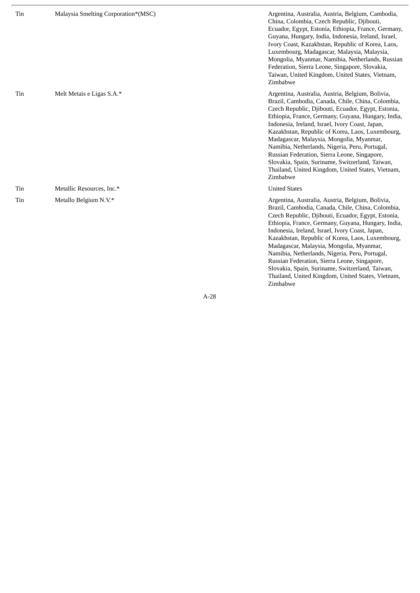| Tin | Malaysia Smelting Corporation*(MSC) | Argentina, Australia, Austria, Belgium, Cambodia,<br>China, Colombia, Czech Republic, Djibouti,<br>Ecuador, Egypt, Estonia, Ethiopia, France, Germany,<br>Guyana, Hungary, India, Indonesia, Ireland, Israel,<br>Ivory Coast, Kazakhstan, Republic of Korea, Laos,<br>Luxembourg, Madagascar, Malaysia, Malaysia,<br>Mongolia, Myanmar, Namibia, Netherlands, Russian<br>Federation, Sierra Leone, Singapore, Slovakia,<br>Taiwan, United Kingdom, United States, Vietnam,<br>Zimbabwe                                                                                                     |
|-----|-------------------------------------|--------------------------------------------------------------------------------------------------------------------------------------------------------------------------------------------------------------------------------------------------------------------------------------------------------------------------------------------------------------------------------------------------------------------------------------------------------------------------------------------------------------------------------------------------------------------------------------------|
| Tin | Melt Metais e Ligas S.A.*           | Argentina, Australia, Austria, Belgium, Bolivia,<br>Brazil, Cambodia, Canada, Chile, China, Colombia,<br>Czech Republic, Djibouti, Ecuador, Egypt, Estonia,<br>Ethiopia, France, Germany, Guyana, Hungary, India,<br>Indonesia, Ireland, Israel, Ivory Coast, Japan,<br>Kazakhstan, Republic of Korea, Laos, Luxembourg,<br>Madagascar, Malaysia, Mongolia, Myanmar,<br>Namibia, Netherlands, Nigeria, Peru, Portugal,<br>Russian Federation, Sierra Leone, Singapore,<br>Slovakia, Spain, Suriname, Switzerland, Taiwan,<br>Thailand, United Kingdom, United States, Vietnam,<br>Zimbabwe |
| Tin | Metallic Resources, Inc.*           | <b>United States</b>                                                                                                                                                                                                                                                                                                                                                                                                                                                                                                                                                                       |
| Tin | Metallo Belgium N.V.*               | Argentina, Australia, Austria, Belgium, Bolivia,<br>Brazil, Cambodia, Canada, Chile, China, Colombia,<br>Czech Republic, Djibouti, Ecuador, Egypt, Estonia,<br>Ethiopia, France, Germany, Guyana, Hungary, India,<br>Indonesia, Ireland, Israel, Ivory Coast, Japan,<br>Kazakhstan, Republic of Korea, Laos, Luxembourg,<br>Madagascar, Malaysia, Mongolia, Myanmar,<br>Namibia, Netherlands, Nigeria, Peru, Portugal,<br>Russian Federation, Sierra Leone, Singapore,<br>Slovakia, Spain, Suriname, Switzerland, Taiwan,<br>Thailand, United Kingdom, United States, Vietnam,<br>Zimbabwe |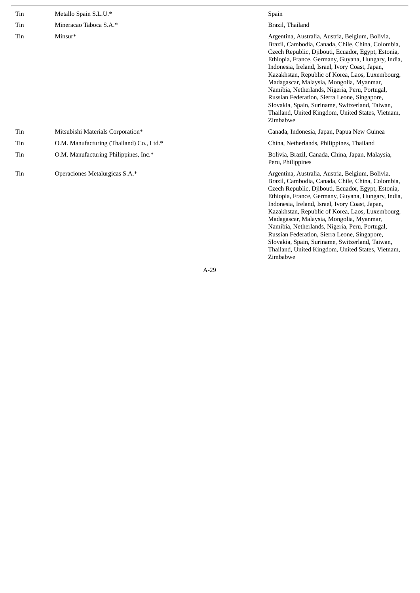| Tin | Metallo Spain S.L.U.*                    | Spain                                                                                                                                                                                                                                                                                                                                                                                                                                                                                                                                                                                      |
|-----|------------------------------------------|--------------------------------------------------------------------------------------------------------------------------------------------------------------------------------------------------------------------------------------------------------------------------------------------------------------------------------------------------------------------------------------------------------------------------------------------------------------------------------------------------------------------------------------------------------------------------------------------|
| Tin | Mineracao Taboca S.A.*                   | Brazil, Thailand                                                                                                                                                                                                                                                                                                                                                                                                                                                                                                                                                                           |
| Tin | Minsur*                                  | Argentina, Australia, Austria, Belgium, Bolivia,<br>Brazil, Cambodia, Canada, Chile, China, Colombia,<br>Czech Republic, Djibouti, Ecuador, Egypt, Estonia,<br>Ethiopia, France, Germany, Guyana, Hungary, India,<br>Indonesia, Ireland, Israel, Ivory Coast, Japan,<br>Kazakhstan, Republic of Korea, Laos, Luxembourg,<br>Madagascar, Malaysia, Mongolia, Myanmar,<br>Namibia, Netherlands, Nigeria, Peru, Portugal,<br>Russian Federation, Sierra Leone, Singapore,<br>Slovakia, Spain, Suriname, Switzerland, Taiwan,<br>Thailand, United Kingdom, United States, Vietnam,<br>Zimbabwe |
| Tin | Mitsubishi Materials Corporation*        | Canada, Indonesia, Japan, Papua New Guinea                                                                                                                                                                                                                                                                                                                                                                                                                                                                                                                                                 |
| Tin | O.M. Manufacturing (Thailand) Co., Ltd.* | China, Netherlands, Philippines, Thailand                                                                                                                                                                                                                                                                                                                                                                                                                                                                                                                                                  |
| Tin | O.M. Manufacturing Philippines, Inc.*    | Bolivia, Brazil, Canada, China, Japan, Malaysia,<br>Peru, Philippines                                                                                                                                                                                                                                                                                                                                                                                                                                                                                                                      |
| Tin | Operaciones Metalurgicas S.A.*           | Argentina, Australia, Austria, Belgium, Bolivia,<br>Brazil, Cambodia, Canada, Chile, China, Colombia,<br>Czech Republic, Djibouti, Ecuador, Egypt, Estonia,                                                                                                                                                                                                                                                                                                                                                                                                                                |

Ethiopia, France, Germany, Guyana, Hungary, India, Indonesia, Ireland, Israel, Ivory Coast, Japan, Kazakhstan, Republic of Korea, Laos, Luxembourg, Madagascar, Malaysia, Mongolia, Myanmar, Namibia, Netherlands, Nigeria, Peru, Portugal, Russian Federation, Sierra Leone, Singapore, Slovakia, Spain, Suriname, Switzerland, Taiwan, Thailand, United Kingdom, United States, Vietnam,<br>Zimbabwe

i m b a b w e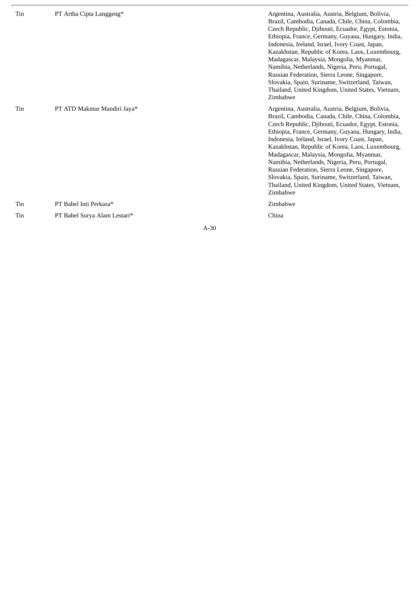| Tin | PT Artha Cipta Langgeng*     | Argentina, Australia, Austria, Belgium, Bolivia,<br>Brazil, Cambodia, Canada, Chile, China, Colombia,<br>Czech Republic, Djibouti, Ecuador, Egypt, Estonia,<br>Ethiopia, France, Germany, Guyana, Hungary, India,<br>Indonesia, Ireland, Israel, Ivory Coast, Japan,<br>Kazakhstan, Republic of Korea, Laos, Luxembourg,<br>Madagascar, Malaysia, Mongolia, Myanmar,<br>Namibia, Netherlands, Nigeria, Peru, Portugal,<br>Russian Federation, Sierra Leone, Singapore,<br>Slovakia, Spain, Suriname, Switzerland, Taiwan,<br>Thailand, United Kingdom, United States, Vietnam,<br>Zimbabwe |
|-----|------------------------------|--------------------------------------------------------------------------------------------------------------------------------------------------------------------------------------------------------------------------------------------------------------------------------------------------------------------------------------------------------------------------------------------------------------------------------------------------------------------------------------------------------------------------------------------------------------------------------------------|
| Tin | PT ATD Makmur Mandiri Jaya*  | Argentina, Australia, Austria, Belgium, Bolivia,<br>Brazil, Cambodia, Canada, Chile, China, Colombia,<br>Czech Republic, Djibouti, Ecuador, Egypt, Estonia,<br>Ethiopia, France, Germany, Guyana, Hungary, India,<br>Indonesia, Ireland, Israel, Ivory Coast, Japan,<br>Kazakhstan, Republic of Korea, Laos, Luxembourg,<br>Madagascar, Malaysia, Mongolia, Myanmar,<br>Namibia, Netherlands, Nigeria, Peru, Portugal,<br>Russian Federation, Sierra Leone, Singapore,<br>Slovakia, Spain, Suriname, Switzerland, Taiwan,<br>Thailand, United Kingdom, United States, Vietnam,<br>Zimbabwe |
| Tin | PT Babel Inti Perkasa*       | Zimbabwe                                                                                                                                                                                                                                                                                                                                                                                                                                                                                                                                                                                   |
| Tin | PT Babel Surva Alam Lestari* | China                                                                                                                                                                                                                                                                                                                                                                                                                                                                                                                                                                                      |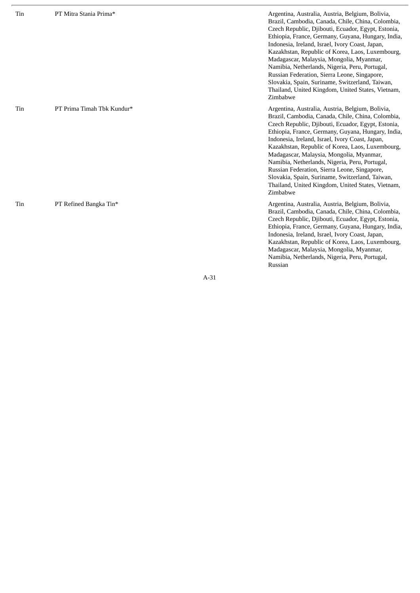| Tin | PT Mitra Stania Prima*     | Argentina, Australia, Austria, Belgium, Bolivia,<br>Brazil, Cambodia, Canada, Chile, China, Colombia,<br>Czech Republic, Djibouti, Ecuador, Egypt, Estonia,<br>Ethiopia, France, Germany, Guyana, Hungary, India,<br>Indonesia, Ireland, Israel, Ivory Coast, Japan,<br>Kazakhstan, Republic of Korea, Laos, Luxembourg,<br>Madagascar, Malaysia, Mongolia, Myanmar,<br>Namibia, Netherlands, Nigeria, Peru, Portugal,<br>Russian Federation, Sierra Leone, Singapore,<br>Slovakia, Spain, Suriname, Switzerland, Taiwan,<br>Thailand, United Kingdom, United States, Vietnam,<br>Zimbabwe |
|-----|----------------------------|--------------------------------------------------------------------------------------------------------------------------------------------------------------------------------------------------------------------------------------------------------------------------------------------------------------------------------------------------------------------------------------------------------------------------------------------------------------------------------------------------------------------------------------------------------------------------------------------|
| Tin | PT Prima Timah Tbk Kundur* | Argentina, Australia, Austria, Belgium, Bolivia,<br>Brazil, Cambodia, Canada, Chile, China, Colombia,<br>Czech Republic, Djibouti, Ecuador, Egypt, Estonia,<br>Ethiopia, France, Germany, Guyana, Hungary, India,<br>Indonesia, Ireland, Israel, Ivory Coast, Japan,<br>Kazakhstan, Republic of Korea, Laos, Luxembourg,<br>Madagascar, Malaysia, Mongolia, Myanmar,<br>Namibia, Netherlands, Nigeria, Peru, Portugal,<br>Russian Federation, Sierra Leone, Singapore,<br>Slovakia, Spain, Suriname, Switzerland, Taiwan,<br>Thailand, United Kingdom, United States, Vietnam,<br>Zimbabwe |
| Tin | PT Refined Bangka Tin*     | Argentina, Australia, Austria, Belgium, Bolivia,<br>Brazil, Cambodia, Canada, Chile, China, Colombia,<br>Czech Republic, Djibouti, Ecuador, Egypt, Estonia,<br>Ethiopia, France, Germany, Guyana, Hungary, India,<br>Indonesia, Ireland, Israel, Ivory Coast, Japan,<br>Kazakhstan, Republic of Korea, Laos, Luxembourg,<br>Madagascar, Malaysia, Mongolia, Myanmar,<br>Namibia, Netherlands, Nigeria, Peru, Portugal,<br>Russian                                                                                                                                                          |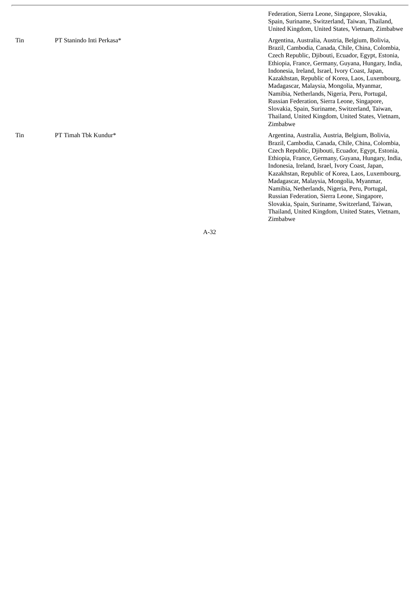T i n PT Stanindo Inti Perkasa\*

T i n PT Timah Tbk Kundur\* Federation, Sierra Leone, Singapore, Slovakia, Spain, Suriname, Switzerland, Taiwan, Thailand, United Kingdom, United States, Vietnam, Zimbabwe

Argentina, Australia, Austria, Belgium, Bolivia, Brazil, Cambodia, Canada, Chile, China, Colombia, Czech Republic, Djibouti, Ecuador, Egypt, Estonia, Ethiopia, France, Germany, Guyana, Hungary, India, Indonesia, Ireland, Israel, Ivory Coast, Japan, Kazakhstan, Republic of Korea, Laos, Luxembourg, Madagascar, Malaysia, Mongolia, Myanmar, Namibia, Netherlands, Nigeria, Peru, Portugal, Russian Federation, Sierra Leone, Singapore, Slovakia, Spain, Suriname, Switzerland, Taiwan, Thailand, United Kingdom, United States, Vietnam,<br>Zimbabwe i m b a b w e

Argentina, Australia, Austria, Belgium, Bolivia, Brazil, Cambodia, Canada, Chile, China, Colombia, Czech Republic, Djibouti, Ecuador, Egypt, Estonia, Ethiopia, France, Germany, Guyana, Hungary, India, Indonesia, Ireland, Israel, Ivory Coast, Japan, Kazakhstan, Republic of Korea, Laos, Luxembourg, Madagascar, Malaysia, Mongolia, Myanmar, Namibia, Netherlands, Nigeria, Peru, Portugal, Russian Federation, Sierra Leone, Singapore, Slovakia, Spain, Suriname, Switzerland, Taiwan, Thailand, United Kingdom, United States, Vietnam,<br>Zimbabwe i m b a b w e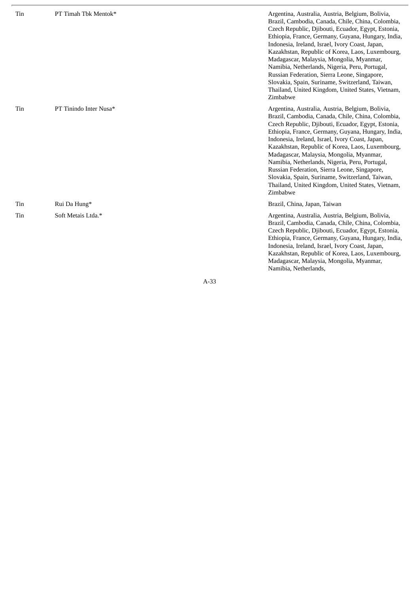| Tin | PT Timah Tbk Mentok*   | Argentina, Australia, Austria, Belgium, Bolivia,<br>Brazil, Cambodia, Canada, Chile, China, Colombia,<br>Czech Republic, Djibouti, Ecuador, Egypt, Estonia,<br>Ethiopia, France, Germany, Guyana, Hungary, India,<br>Indonesia, Ireland, Israel, Ivory Coast, Japan,<br>Kazakhstan, Republic of Korea, Laos, Luxembourg,<br>Madagascar, Malaysia, Mongolia, Myanmar,<br>Namibia, Netherlands, Nigeria, Peru, Portugal,<br>Russian Federation, Sierra Leone, Singapore,<br>Slovakia, Spain, Suriname, Switzerland, Taiwan,<br>Thailand, United Kingdom, United States, Vietnam,<br>Zimbabwe |
|-----|------------------------|--------------------------------------------------------------------------------------------------------------------------------------------------------------------------------------------------------------------------------------------------------------------------------------------------------------------------------------------------------------------------------------------------------------------------------------------------------------------------------------------------------------------------------------------------------------------------------------------|
| Tin | PT Tinindo Inter Nusa* | Argentina, Australia, Austria, Belgium, Bolivia,<br>Brazil, Cambodia, Canada, Chile, China, Colombia,<br>Czech Republic, Djibouti, Ecuador, Egypt, Estonia,<br>Ethiopia, France, Germany, Guyana, Hungary, India,<br>Indonesia, Ireland, Israel, Ivory Coast, Japan,<br>Kazakhstan, Republic of Korea, Laos, Luxembourg,<br>Madagascar, Malaysia, Mongolia, Myanmar,<br>Namibia, Netherlands, Nigeria, Peru, Portugal,<br>Russian Federation, Sierra Leone, Singapore,<br>Slovakia, Spain, Suriname, Switzerland, Taiwan,<br>Thailand, United Kingdom, United States, Vietnam,<br>Zimbabwe |
| Tin | Rui Da Hung*           | Brazil, China, Japan, Taiwan                                                                                                                                                                                                                                                                                                                                                                                                                                                                                                                                                               |
| Tin | Soft Metais Ltda.*     | Argentina, Australia, Austria, Belgium, Bolivia,<br>Brazil, Cambodia, Canada, Chile, China, Colombia,<br>Czech Republic, Djibouti, Ecuador, Egypt, Estonia,<br>Ethiopia, France, Germany, Guyana, Hungary, India,<br>Indonesia, Ireland, Israel, Ivory Coast, Japan,<br>Kazakhstan, Republic of Korea, Laos, Luxembourg,<br>Madagascar, Malaysia, Mongolia, Myanmar,                                                                                                                                                                                                                       |

Namibia, Netherlands,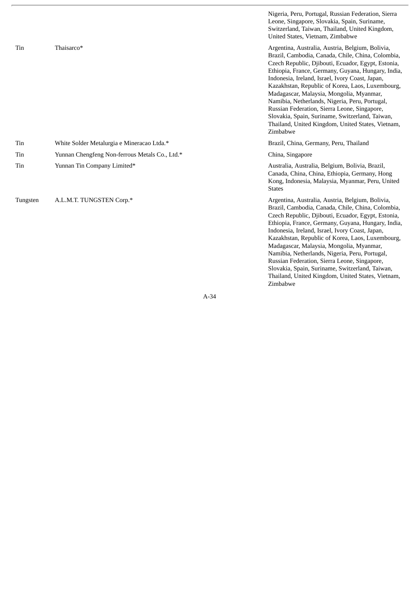|          |                                                | Nigeria, Peru, Portugal, Russian Federation, Sierra<br>Leone, Singapore, Slovakia, Spain, Suriname,<br>Switzerland, Taiwan, Thailand, United Kingdom,<br>United States, Vietnam, Zimbabwe                                                                                                                                                                                                                                                                                                                                                                                                  |
|----------|------------------------------------------------|--------------------------------------------------------------------------------------------------------------------------------------------------------------------------------------------------------------------------------------------------------------------------------------------------------------------------------------------------------------------------------------------------------------------------------------------------------------------------------------------------------------------------------------------------------------------------------------------|
| Tin      | Thaisarco*                                     | Argentina, Australia, Austria, Belgium, Bolivia,<br>Brazil, Cambodia, Canada, Chile, China, Colombia,<br>Czech Republic, Djibouti, Ecuador, Egypt, Estonia,<br>Ethiopia, France, Germany, Guyana, Hungary, India,<br>Indonesia, Ireland, Israel, Ivory Coast, Japan,<br>Kazakhstan, Republic of Korea, Laos, Luxembourg,<br>Madagascar, Malaysia, Mongolia, Myanmar,<br>Namibia, Netherlands, Nigeria, Peru, Portugal,<br>Russian Federation, Sierra Leone, Singapore,<br>Slovakia, Spain, Suriname, Switzerland, Taiwan,<br>Thailand, United Kingdom, United States, Vietnam,<br>Zimbabwe |
| Tin      | White Solder Metalurgia e Mineracao Ltda.*     | Brazil, China, Germany, Peru, Thailand                                                                                                                                                                                                                                                                                                                                                                                                                                                                                                                                                     |
| Tin      | Yunnan Chengfeng Non-ferrous Metals Co., Ltd.* | China, Singapore                                                                                                                                                                                                                                                                                                                                                                                                                                                                                                                                                                           |
| Tin      | Yunnan Tin Company Limited*                    | Australia, Australia, Belgium, Bolivia, Brazil,<br>Canada, China, China, Ethiopia, Germany, Hong<br>Kong, Indonesia, Malaysia, Myanmar, Peru, United<br><b>States</b>                                                                                                                                                                                                                                                                                                                                                                                                                      |
| Tungsten | A.L.M.T. TUNGSTEN Corp.*                       | Argentina, Australia, Austria, Belgium, Bolivia,<br>Brazil, Cambodia, Canada, Chile, China, Colombia,<br>Czech Republic, Djibouti, Ecuador, Egypt, Estonia,<br>Ethiopia, France, Germany, Guyana, Hungary, India,<br>Indonesia, Ireland, Israel, Ivory Coast, Japan,<br>Kazakhstan, Republic of Korea, Laos, Luxembourg,<br>Madagascar, Malaysia, Mongolia, Myanmar,<br>Namibia, Netherlands, Nigeria, Peru, Portugal,<br>Russian Federation, Sierra Leone, Singapore,                                                                                                                     |

Slovakia, Spain, Suriname, Switzerland, Taiwan, Thailand, United Kingdom, United States, Vietnam,

Zimbabwe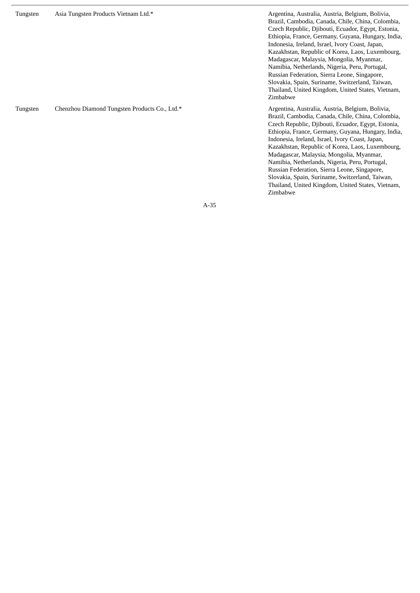Tungsten Asia Tungsten Products Vietnam Ltd.\* Argentina, Australia, Australia, Australia, Belgium, Bolivia, Brazil, Cambodia, Canada, Chile, China, Colombia, Czech Republic, Djibouti, Ecuador, Egypt, Estonia, Ethiopia, France, Germany, Guyana, Hungary, India, Indonesia, Ireland, Israel, Ivory Coast, Japan, Kazakhstan, Republic of Korea, Laos, Luxembourg, Madagascar, Malaysia, Mongolia, Myanmar, Namibia, Netherlands, Nigeria, Peru, Portugal, Russian Federation, Sierra Leone, Singapore, Slovakia, Spain, Suriname, Switzerland, Taiwan, Thailand, United Kingdom, United States, Vietnam, Zimbabwe Tungsten Chenzhou Diamond Tungsten Products Co., Ltd.\* **Argentina, Australia, Australia, Austria**, Belgium, Bolivia, Brazil, Cambodia, Canada, Chile, China, Colombia, Czech Republic, Djibouti, Ecuador, Egypt, Estonia, Ethiopia, France, Germany, Guyana, Hungary, India, Indonesia, Ireland, Israel, Ivory Coast, Japan, Kazakhstan, Republic of Korea, Laos, Luxembourg, Madagascar, Malaysia, Mongolia, Myanmar, Namibia, Netherlands, Nigeria, Peru, Portugal, Russian Federation, Sierra Leone, Singapore, Slovakia, Spain, Suriname, Switzerland, Taiwan, Thailand, United Kingdom, United States, Vietnam,

A-35

Zimbabwe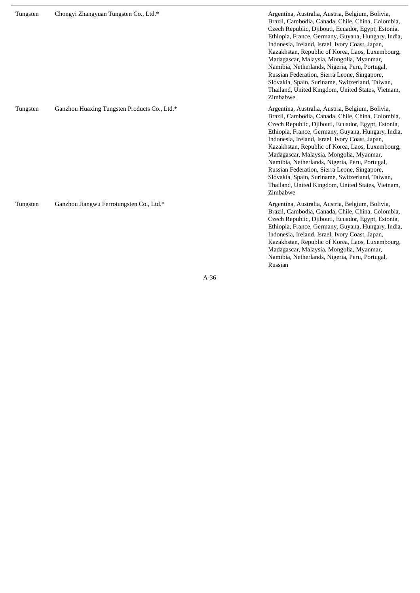| Tungsten | Chongyi Zhangyuan Tungsten Co., Ltd.*        | Argentina, Australia, Austria, Belgium, Bolivia,<br>Brazil, Cambodia, Canada, Chile, China, Colombia,<br>Czech Republic, Djibouti, Ecuador, Egypt, Estonia,<br>Ethiopia, France, Germany, Guyana, Hungary, India,<br>Indonesia, Ireland, Israel, Ivory Coast, Japan,<br>Kazakhstan, Republic of Korea, Laos, Luxembourg,<br>Madagascar, Malaysia, Mongolia, Myanmar,<br>Namibia, Netherlands, Nigeria, Peru, Portugal,<br>Russian Federation, Sierra Leone, Singapore,<br>Slovakia, Spain, Suriname, Switzerland, Taiwan,<br>Thailand, United Kingdom, United States, Vietnam,<br>Zimbabwe |
|----------|----------------------------------------------|--------------------------------------------------------------------------------------------------------------------------------------------------------------------------------------------------------------------------------------------------------------------------------------------------------------------------------------------------------------------------------------------------------------------------------------------------------------------------------------------------------------------------------------------------------------------------------------------|
| Tungsten | Ganzhou Huaxing Tungsten Products Co., Ltd.* | Argentina, Australia, Austria, Belgium, Bolivia,<br>Brazil, Cambodia, Canada, Chile, China, Colombia,<br>Czech Republic, Djibouti, Ecuador, Egypt, Estonia,<br>Ethiopia, France, Germany, Guyana, Hungary, India,<br>Indonesia, Ireland, Israel, Ivory Coast, Japan,<br>Kazakhstan, Republic of Korea, Laos, Luxembourg,<br>Madagascar, Malaysia, Mongolia, Myanmar,<br>Namibia, Netherlands, Nigeria, Peru, Portugal,<br>Russian Federation, Sierra Leone, Singapore,<br>Slovakia, Spain, Suriname, Switzerland, Taiwan,<br>Thailand, United Kingdom, United States, Vietnam,<br>Zimbabwe |
| Tungsten | Ganzhou Jiangwu Ferrotungsten Co., Ltd.*     | Argentina, Australia, Austria, Belgium, Bolivia,<br>Brazil, Cambodia, Canada, Chile, China, Colombia,<br>Czech Republic, Djibouti, Ecuador, Egypt, Estonia,<br>Ethiopia, France, Germany, Guyana, Hungary, India,<br>Indonesia, Ireland, Israel, Ivory Coast, Japan,<br>Kazakhstan, Republic of Korea, Laos, Luxembourg,<br>Madagascar, Malaysia, Mongolia, Myanmar,<br>Namibia, Netherlands, Nigeria, Peru, Portugal,<br>Russian                                                                                                                                                          |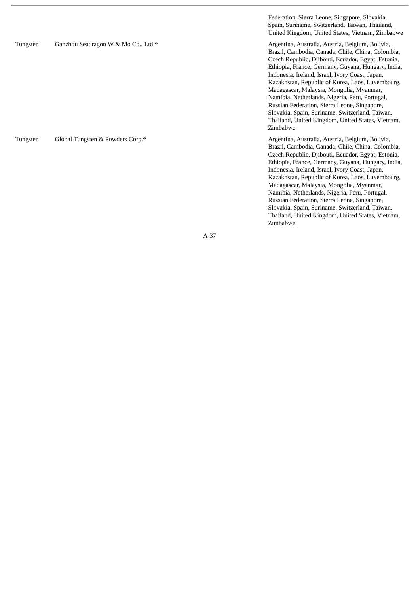|          |                                     | Federation, Sierra Leone, Singapore, Slovakia,<br>Spain, Suriname, Switzerland, Taiwan, Thailand,<br>United Kingdom, United States, Vietnam, Zimbabwe                                                                                                                                                                                                                                                                                                                                                                                                                                      |
|----------|-------------------------------------|--------------------------------------------------------------------------------------------------------------------------------------------------------------------------------------------------------------------------------------------------------------------------------------------------------------------------------------------------------------------------------------------------------------------------------------------------------------------------------------------------------------------------------------------------------------------------------------------|
| Tungsten | Ganzhou Seadragon W & Mo Co., Ltd.* | Argentina, Australia, Austria, Belgium, Bolivia,<br>Brazil, Cambodia, Canada, Chile, China, Colombia,<br>Czech Republic, Djibouti, Ecuador, Egypt, Estonia,<br>Ethiopia, France, Germany, Guyana, Hungary, India,<br>Indonesia, Ireland, Israel, Ivory Coast, Japan,<br>Kazakhstan, Republic of Korea, Laos, Luxembourg,<br>Madagascar, Malaysia, Mongolia, Myanmar,<br>Namibia, Netherlands, Nigeria, Peru, Portugal,<br>Russian Federation, Sierra Leone, Singapore,<br>Slovakia, Spain, Suriname, Switzerland, Taiwan,<br>Thailand, United Kingdom, United States, Vietnam,<br>Zimbabwe |
| Tungsten | Global Tungsten & Powders Corp.*    | Argentina, Australia, Austria, Belgium, Bolivia,<br>Brazil, Cambodia, Canada, Chile, China, Colombia,<br>Czech Republic, Djibouti, Ecuador, Egypt, Estonia,<br>Ethiopia, France, Germany, Guyana, Hungary, India,<br>Indonesia, Ireland, Israel, Ivory Coast, Japan,<br>Kazakhstan, Republic of Korea, Laos, Luxembourg,<br>Madagascar, Malaysia, Mongolia, Myanmar,                                                                                                                                                                                                                       |

Namibia, Netherlands, Nigeria, Peru, Portugal, Russian Federation, Sierra Leone, Singapore, Slovakia, Spain, Suriname, Switzerland, Taiwan, Thailand, United Kingdom, United States, Vietnam,<br>Zimbabwe

i m b a b w e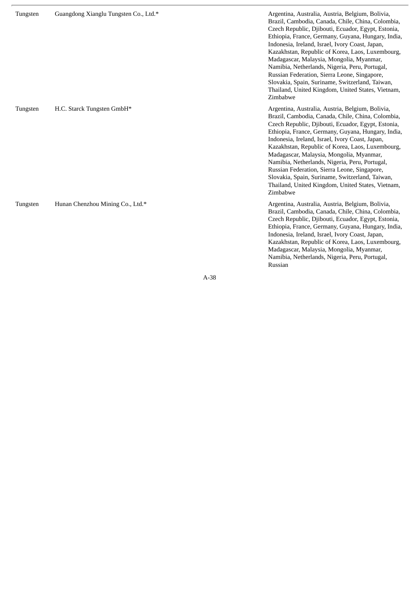| Tungsten | Guangdong Xianglu Tungsten Co., Ltd.* | Argentina, Australia, Austria, Belgium, Bolivia,<br>Brazil, Cambodia, Canada, Chile, China, Colombia,<br>Czech Republic, Djibouti, Ecuador, Egypt, Estonia,<br>Ethiopia, France, Germany, Guyana, Hungary, India,<br>Indonesia, Ireland, Israel, Ivory Coast, Japan,<br>Kazakhstan, Republic of Korea, Laos, Luxembourg,<br>Madagascar, Malaysia, Mongolia, Myanmar,<br>Namibia, Netherlands, Nigeria, Peru, Portugal,<br>Russian Federation, Sierra Leone, Singapore,<br>Slovakia, Spain, Suriname, Switzerland, Taiwan,<br>Thailand, United Kingdom, United States, Vietnam,<br>Zimbabwe |
|----------|---------------------------------------|--------------------------------------------------------------------------------------------------------------------------------------------------------------------------------------------------------------------------------------------------------------------------------------------------------------------------------------------------------------------------------------------------------------------------------------------------------------------------------------------------------------------------------------------------------------------------------------------|
| Tungsten | H.C. Starck Tungsten GmbH*            | Argentina, Australia, Austria, Belgium, Bolivia,<br>Brazil, Cambodia, Canada, Chile, China, Colombia,<br>Czech Republic, Djibouti, Ecuador, Egypt, Estonia,<br>Ethiopia, France, Germany, Guyana, Hungary, India,<br>Indonesia, Ireland, Israel, Ivory Coast, Japan,<br>Kazakhstan, Republic of Korea, Laos, Luxembourg,<br>Madagascar, Malaysia, Mongolia, Myanmar,<br>Namibia, Netherlands, Nigeria, Peru, Portugal,<br>Russian Federation, Sierra Leone, Singapore,<br>Slovakia, Spain, Suriname, Switzerland, Taiwan,<br>Thailand, United Kingdom, United States, Vietnam,<br>Zimbabwe |
| Tungsten | Hunan Chenzhou Mining Co., Ltd.*      | Argentina, Australia, Austria, Belgium, Bolivia,<br>Brazil, Cambodia, Canada, Chile, China, Colombia,<br>Czech Republic, Djibouti, Ecuador, Egypt, Estonia,<br>Ethiopia, France, Germany, Guyana, Hungary, India,<br>Indonesia, Ireland, Israel, Ivory Coast, Japan,<br>Kazakhstan, Republic of Korea, Laos, Luxembourg,<br>Madagascar, Malaysia, Mongolia, Myanmar,<br>Namibia, Netherlands, Nigeria, Peru, Portugal,                                                                                                                                                                     |

Russian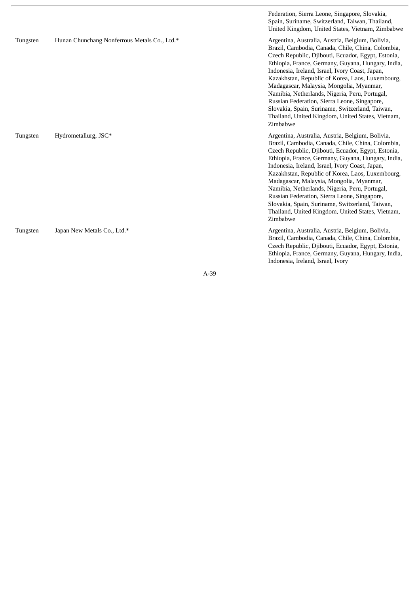|          |                                              | Federation, Sierra Leone, Singapore, Slovakia,<br>Spain, Suriname, Switzerland, Taiwan, Thailand,<br>United Kingdom, United States, Vietnam, Zimbabwe                                                                                                                                                                                                                                                                                                                                                                                                                                      |
|----------|----------------------------------------------|--------------------------------------------------------------------------------------------------------------------------------------------------------------------------------------------------------------------------------------------------------------------------------------------------------------------------------------------------------------------------------------------------------------------------------------------------------------------------------------------------------------------------------------------------------------------------------------------|
| Tungsten | Hunan Chunchang Nonferrous Metals Co., Ltd.* | Argentina, Australia, Austria, Belgium, Bolivia,<br>Brazil, Cambodia, Canada, Chile, China, Colombia,<br>Czech Republic, Djibouti, Ecuador, Egypt, Estonia,<br>Ethiopia, France, Germany, Guyana, Hungary, India,<br>Indonesia, Ireland, Israel, Ivory Coast, Japan,<br>Kazakhstan, Republic of Korea, Laos, Luxembourg,<br>Madagascar, Malaysia, Mongolia, Myanmar,<br>Namibia, Netherlands, Nigeria, Peru, Portugal,<br>Russian Federation, Sierra Leone, Singapore,<br>Slovakia, Spain, Suriname, Switzerland, Taiwan,<br>Thailand, United Kingdom, United States, Vietnam,<br>Zimbabwe |
| Tungsten | Hydrometallurg, JSC*                         | Argentina, Australia, Austria, Belgium, Bolivia,<br>Brazil, Cambodia, Canada, Chile, China, Colombia,<br>Czech Republic, Djibouti, Ecuador, Egypt, Estonia,<br>Ethiopia, France, Germany, Guyana, Hungary, India,<br>Indonesia, Ireland, Israel, Ivory Coast, Japan,<br>Kazakhstan, Republic of Korea, Laos, Luxembourg,<br>Madagascar, Malaysia, Mongolia, Myanmar,<br>Namibia, Netherlands, Nigeria, Peru, Portugal,<br>Russian Federation, Sierra Leone, Singapore,<br>Slovakia, Spain, Suriname, Switzerland, Taiwan,<br>Thailand, United Kingdom, United States, Vietnam,<br>Zimbabwe |
| Tungsten | Japan New Metals Co., Ltd.*                  | Argentina, Australia, Austria, Belgium, Bolivia,<br>Brazil, Cambodia, Canada, Chile, China, Colombia,<br>Czech Republic, Djibouti, Ecuador, Egypt, Estonia,<br>Ethiopia, France, Germany, Guyana, Hungary, India,<br>Indonesia, Ireland, Israel, Ivory                                                                                                                                                                                                                                                                                                                                     |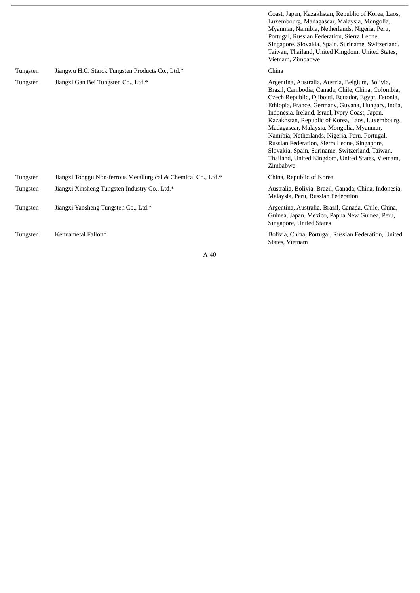|          |                                                                | Luxembourg, Madagascar, Malaysia, Mongolia,<br>Myanmar, Namibia, Netherlands, Nigeria, Peru,<br>Portugal, Russian Federation, Sierra Leone,<br>Singapore, Slovakia, Spain, Suriname, Switzerland,<br>Taiwan, Thailand, United Kingdom, United States,<br>Vietnam, Zimbabwe                                                                                                                                                                                                                                                                                                                 |
|----------|----------------------------------------------------------------|--------------------------------------------------------------------------------------------------------------------------------------------------------------------------------------------------------------------------------------------------------------------------------------------------------------------------------------------------------------------------------------------------------------------------------------------------------------------------------------------------------------------------------------------------------------------------------------------|
| Tungsten | Jiangwu H.C. Starck Tungsten Products Co., Ltd.*               | China                                                                                                                                                                                                                                                                                                                                                                                                                                                                                                                                                                                      |
| Tungsten | Jiangxi Gan Bei Tungsten Co., Ltd.*                            | Argentina, Australia, Austria, Belgium, Bolivia,<br>Brazil, Cambodia, Canada, Chile, China, Colombia,<br>Czech Republic, Djibouti, Ecuador, Egypt, Estonia,<br>Ethiopia, France, Germany, Guyana, Hungary, India,<br>Indonesia, Ireland, Israel, Ivory Coast, Japan,<br>Kazakhstan, Republic of Korea, Laos, Luxembourg,<br>Madagascar, Malaysia, Mongolia, Myanmar,<br>Namibia, Netherlands, Nigeria, Peru, Portugal,<br>Russian Federation, Sierra Leone, Singapore,<br>Slovakia, Spain, Suriname, Switzerland, Taiwan,<br>Thailand, United Kingdom, United States, Vietnam,<br>Zimbabwe |
| Tungsten | Jiangxi Tonggu Non-ferrous Metallurgical & Chemical Co., Ltd.* | China, Republic of Korea                                                                                                                                                                                                                                                                                                                                                                                                                                                                                                                                                                   |
| Tungsten | Jiangxi Xinsheng Tungsten Industry Co., Ltd.*                  | Australia, Bolivia, Brazil, Canada, China, Indonesia,<br>Malaysia, Peru, Russian Federation                                                                                                                                                                                                                                                                                                                                                                                                                                                                                                |
| Tungsten | Jiangxi Yaosheng Tungsten Co., Ltd.*                           | Argentina, Australia, Brazil, Canada, Chile, China,<br>Guinea, Japan, Mexico, Papua New Guinea, Peru,<br>Singapore, United States                                                                                                                                                                                                                                                                                                                                                                                                                                                          |
| Tungsten | Kennametal Fallon*                                             | Bolivia, China, Portugal, Russian Federation, United<br>States, Vietnam                                                                                                                                                                                                                                                                                                                                                                                                                                                                                                                    |

Coast, Japan, Kazakhstan, Republic of Korea, Laos,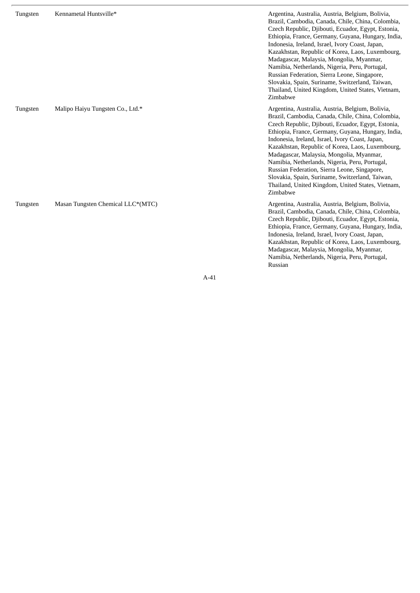| Tungsten | Kennametal Huntsville*            | Argentina, Australia, Austria, Belgium, Bolivia,<br>Brazil, Cambodia, Canada, Chile, China, Colombia,<br>Czech Republic, Djibouti, Ecuador, Egypt, Estonia,<br>Ethiopia, France, Germany, Guyana, Hungary, India,<br>Indonesia, Ireland, Israel, Ivory Coast, Japan,<br>Kazakhstan, Republic of Korea, Laos, Luxembourg,<br>Madagascar, Malaysia, Mongolia, Myanmar,<br>Namibia, Netherlands, Nigeria, Peru, Portugal,<br>Russian Federation, Sierra Leone, Singapore,<br>Slovakia, Spain, Suriname, Switzerland, Taiwan,<br>Thailand, United Kingdom, United States, Vietnam,<br>Zimbabwe |
|----------|-----------------------------------|--------------------------------------------------------------------------------------------------------------------------------------------------------------------------------------------------------------------------------------------------------------------------------------------------------------------------------------------------------------------------------------------------------------------------------------------------------------------------------------------------------------------------------------------------------------------------------------------|
| Tungsten | Malipo Haiyu Tungsten Co., Ltd.*  | Argentina, Australia, Austria, Belgium, Bolivia,<br>Brazil, Cambodia, Canada, Chile, China, Colombia,<br>Czech Republic, Djibouti, Ecuador, Egypt, Estonia,<br>Ethiopia, France, Germany, Guyana, Hungary, India,<br>Indonesia, Ireland, Israel, Ivory Coast, Japan,<br>Kazakhstan, Republic of Korea, Laos, Luxembourg,<br>Madagascar, Malaysia, Mongolia, Myanmar,<br>Namibia, Netherlands, Nigeria, Peru, Portugal,<br>Russian Federation, Sierra Leone, Singapore,<br>Slovakia, Spain, Suriname, Switzerland, Taiwan,<br>Thailand, United Kingdom, United States, Vietnam,<br>Zimbabwe |
| Tungsten | Masan Tungsten Chemical LLC*(MTC) | Argentina, Australia, Austria, Belgium, Bolivia,<br>Brazil, Cambodia, Canada, Chile, China, Colombia,<br>Czech Republic, Djibouti, Ecuador, Egypt, Estonia,<br>Ethiopia, France, Germany, Guyana, Hungary, India,<br>Indonesia, Ireland, Israel, Ivory Coast, Japan,<br>Kazakhstan, Republic of Korea, Laos, Luxembourg,<br>Madagascar, Malaysia, Mongolia, Myanmar,<br>Namibia, Netherlands, Nigeria, Peru, Portugal,                                                                                                                                                                     |

Russian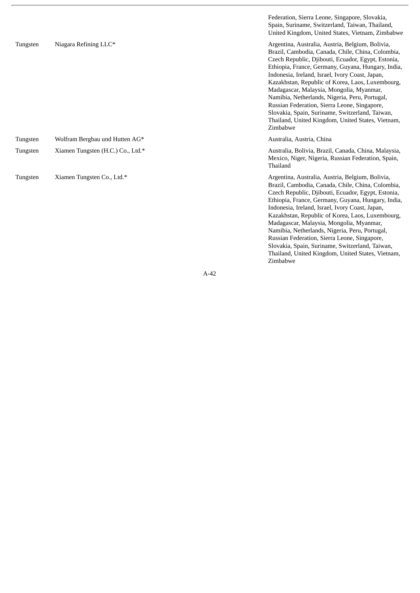|          |                                   | Federation, Sierra Leone, Singapore, Slovakia,<br>Spain, Suriname, Switzerland, Taiwan, Thailand,<br>United Kingdom, United States, Vietnam, Zimbabwe                                                                                                                                                                                                                                                                                                                                                                                                                                      |
|----------|-----------------------------------|--------------------------------------------------------------------------------------------------------------------------------------------------------------------------------------------------------------------------------------------------------------------------------------------------------------------------------------------------------------------------------------------------------------------------------------------------------------------------------------------------------------------------------------------------------------------------------------------|
| Tungsten | Niagara Refining LLC*             | Argentina, Australia, Austria, Belgium, Bolivia,<br>Brazil, Cambodia, Canada, Chile, China, Colombia,<br>Czech Republic, Djibouti, Ecuador, Egypt, Estonia,<br>Ethiopia, France, Germany, Guyana, Hungary, India,<br>Indonesia, Ireland, Israel, Ivory Coast, Japan,<br>Kazakhstan, Republic of Korea, Laos, Luxembourg,<br>Madagascar, Malaysia, Mongolia, Myanmar,<br>Namibia, Netherlands, Nigeria, Peru, Portugal,<br>Russian Federation, Sierra Leone, Singapore,<br>Slovakia, Spain, Suriname, Switzerland, Taiwan,<br>Thailand, United Kingdom, United States, Vietnam,<br>Zimbabwe |
| Tungsten | Wolfram Bergbau und Hutten AG*    | Australia, Austria, China                                                                                                                                                                                                                                                                                                                                                                                                                                                                                                                                                                  |
| Tungsten | Xiamen Tungsten (H.C.) Co., Ltd.* | Australia, Bolivia, Brazil, Canada, China, Malaysia,<br>Mexico, Niger, Nigeria, Russian Federation, Spain,<br>Thailand                                                                                                                                                                                                                                                                                                                                                                                                                                                                     |
| Tungsten | Xiamen Tungsten Co., Ltd.*        | Argentina, Australia, Austria, Belgium, Bolivia,<br>Brazil, Cambodia, Canada, Chile, China, Colombia,<br>Czech Republic, Djibouti, Ecuador, Egypt, Estonia,<br>Ethiopia, France, Germany, Guyana, Hungary, India,<br>Indonesia, Ireland, Israel, Ivory Coast, Japan,<br>Kazakhstan, Republic of Korea, Laos, Luxembourg,<br>Madagascar, Malaysia, Mongolia, Myanmar,<br>Namibia, Netherlands, Nigeria, Peru, Portugal,<br>Russian Federation, Sierra Leone, Singapore,<br>Slovakia, Spain, Suriname, Switzerland, Taiwan,<br>Thailand, United Kingdom, United States, Vietnam,<br>Zimbabwe |